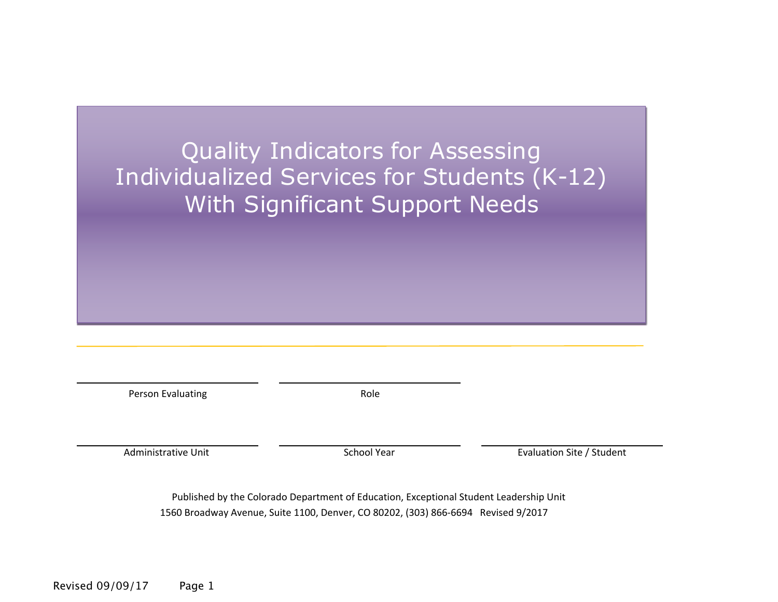| Quality Indicators for Assessing            |
|---------------------------------------------|
| Individualized Services for Students (K-12) |
| With Significant Support Needs              |

| Person Evaluating   | Role        |                           |
|---------------------|-------------|---------------------------|
| Administrative Unit | School Year | Evaluation Site / Student |

Published by the Colorado Department of Education, Exceptional Student Leadership Unit 1560 Broadway Avenue, Suite 1100, Denver, CO 80202, (303) 866-6694 Revised 9/2017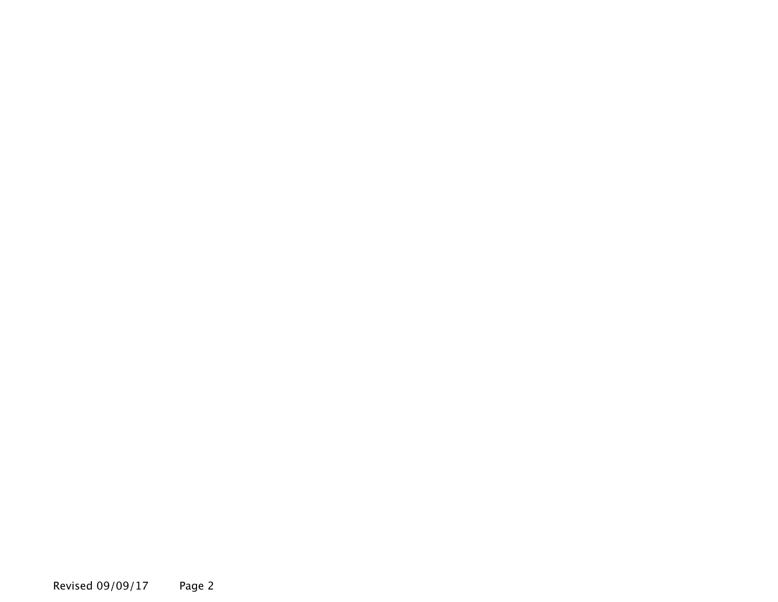Revised 09/09/17 Page 2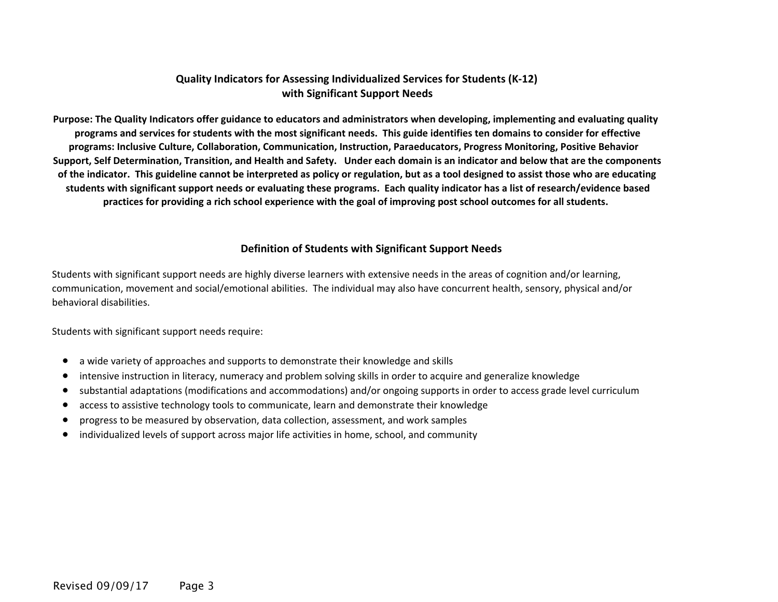## **Quality Indicators for Assessing Individualized Services for Students (K-12) with Significant Support Needs**

**Purpose: The Quality Indicators offer guidance to educators and administrators when developing, implementing and evaluating quality programs and services for students with the most significant needs. This guide identifies ten domains to consider for effective programs: Inclusive Culture, Collaboration, Communication, Instruction, Paraeducators, Progress Monitoring, Positive Behavior Support, Self Determination, Transition, and Health and Safety. Under each domain is an indicator and below that are the components of the indicator. This guideline cannot be interpreted as policy or regulation, but as a tool designed to assist those who are educating students with significant support needs or evaluating these programs. Each quality indicator has a list of research/evidence based practices for providing a rich school experience with the goal of improving post school outcomes for all students.** 

#### **Definition of Students with Significant Support Needs**

Students with significant support needs are highly diverse learners with extensive needs in the areas of cognition and/or learning, communication, movement and social/emotional abilities. The individual may also have concurrent health, sensory, physical and/or behavioral disabilities.

Students with significant support needs require:

- a wide variety of approaches and supports to demonstrate their knowledge and skills
- $\bullet$ intensive instruction in literacy, numeracy and problem solving skills in order to acquire and generalize knowledge
- $\bullet$ substantial adaptations (modifications and accommodations) and/or ongoing supports in order to access grade level curriculum
- $\bullet$ access to assistive technology tools to communicate, learn and demonstrate their knowledge
- progress to be measured by observation, data collection, assessment, and work samples
- individualized levels of support across major life activities in home, school, and community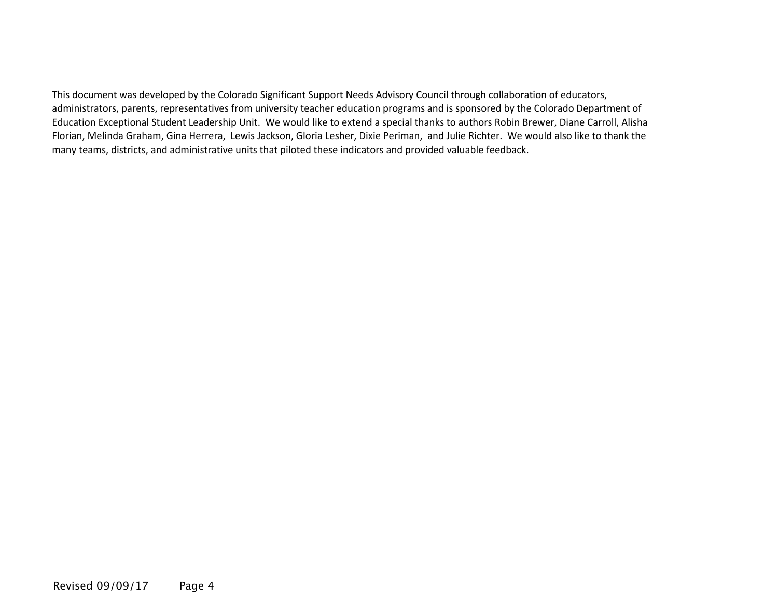This document was developed by the Colorado Significant Support Needs Advisory Council through collaboration of educators, administrators, parents, representatives from university teacher education programs and is sponsored by the Colorado Department of Education Exceptional Student Leadership Unit. We would like to extend a special thanks to authors Robin Brewer, Diane Carroll, Alisha Florian, Melinda Graham, Gina Herrera, Lewis Jackson, Gloria Lesher, Dixie Periman, and Julie Richter. We would also like to thank the many teams, districts, and administrative units that piloted these indicators and provided valuable feedback.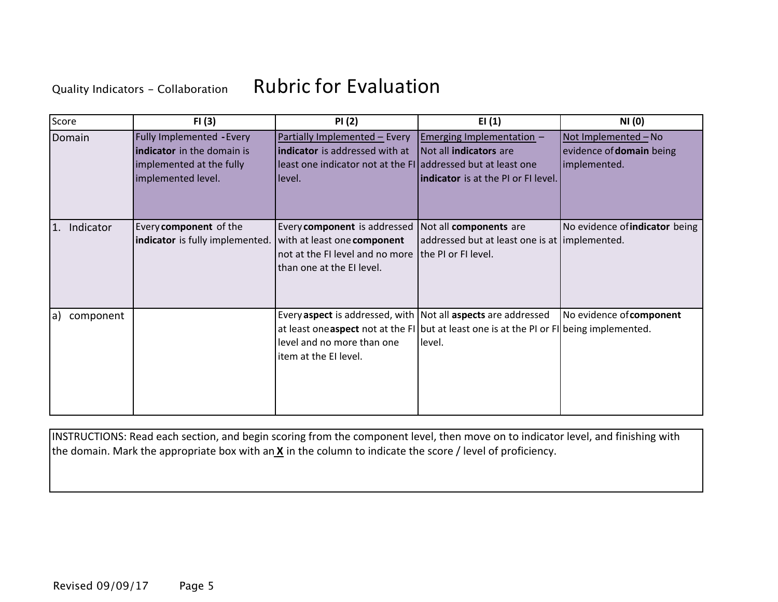# Quality Indicators - Collaboration Rubric for Evaluation

| Score                       | FI(3)                                                                                                            | PI(2)                                                                                                                                                              | EI $(1)$                                                                                           | NI (0)                                                                  |
|-----------------------------|------------------------------------------------------------------------------------------------------------------|--------------------------------------------------------------------------------------------------------------------------------------------------------------------|----------------------------------------------------------------------------------------------------|-------------------------------------------------------------------------|
| Domain                      | Fully Implemented - Every<br><b>indicator</b> in the domain is<br>implemented at the fully<br>implemented level. | Partially Implemented - Every<br>indicator is addressed with at   Not all indicators are<br>least one indicator not at the FI addressed but at least one<br>level. | Emerging Implementation -<br>indicator is at the PI or FI level.                                   | Not Implemented - No<br>evidence of <b>domain</b> being<br>implemented. |
| Indicator<br>$\mathbf{1}$ . | Every component of the<br>indicator is fully implemented.                                                        | Every component is addressed<br>with at least one component<br>not at the FI level and no more   the PI or FI level.<br>than one at the EI level.                  | Not all components are<br>addressed but at least one is at implemented.                            | No evidence of indicator being                                          |
| component<br>la)            |                                                                                                                  | Every aspect is addressed, with Not all aspects are addressed<br>level and no more than one<br>item at the EI level.                                               | at least one aspect not at the FI but at least one is at the PI or FI being implemented.<br>level. | No evidence of component                                                |

INSTRUCTIONS: Read each section, and begin scoring from the component level, then move on to indicator level, and finishing with the domain. Mark the appropriate box with an **X** in the column to indicate the score / level of proficiency.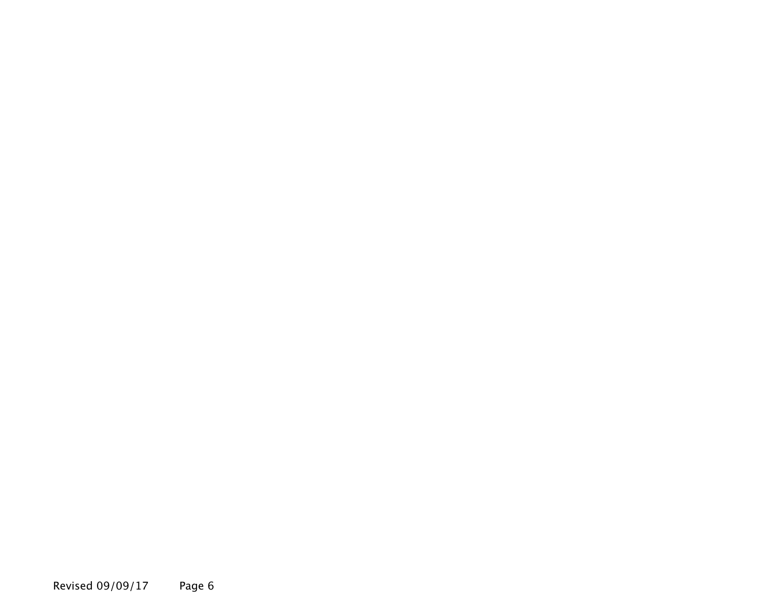Revised 09/09/17 Page 6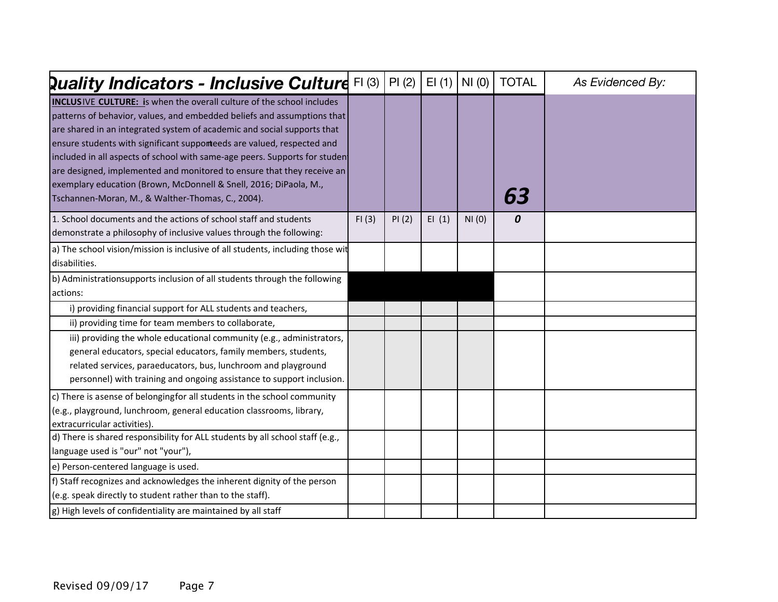| <b>Quality Indicators - Inclusive Culture FI (3)</b>                                                                                                                                                                                                                                                                                                                                                                                                                                                                                                                                           |       | PI(2) | EI(1) | NI(0) | <b>TOTAL</b> | As Evidenced By: |
|------------------------------------------------------------------------------------------------------------------------------------------------------------------------------------------------------------------------------------------------------------------------------------------------------------------------------------------------------------------------------------------------------------------------------------------------------------------------------------------------------------------------------------------------------------------------------------------------|-------|-------|-------|-------|--------------|------------------|
| <b>INCLUSIVE CULTURE:</b> is when the overall culture of the school includes<br>patterns of behavior, values, and embedded beliefs and assumptions that<br>are shared in an integrated system of academic and social supports that<br>ensure students with significant suppomeeds are valued, respected and<br>included in all aspects of school with same-age peers. Supports for student<br>are designed, implemented and monitored to ensure that they receive an<br>exemplary education (Brown, McDonnell & Snell, 2016; DiPaola, M.,<br>Tschannen-Moran, M., & Walther-Thomas, C., 2004). |       |       |       |       | 63           |                  |
| 1. School documents and the actions of school staff and students<br>demonstrate a philosophy of inclusive values through the following:                                                                                                                                                                                                                                                                                                                                                                                                                                                        | FI(3) | PI(2) | EI(1) | NI(0) | 0            |                  |
| a) The school vision/mission is inclusive of all students, including those wit<br>disabilities.                                                                                                                                                                                                                                                                                                                                                                                                                                                                                                |       |       |       |       |              |                  |
| b) Administrationsupports inclusion of all students through the following<br>actions:                                                                                                                                                                                                                                                                                                                                                                                                                                                                                                          |       |       |       |       |              |                  |
| i) providing financial support for ALL students and teachers,                                                                                                                                                                                                                                                                                                                                                                                                                                                                                                                                  |       |       |       |       |              |                  |
| ii) providing time for team members to collaborate,                                                                                                                                                                                                                                                                                                                                                                                                                                                                                                                                            |       |       |       |       |              |                  |
| iii) providing the whole educational community (e.g., administrators,<br>general educators, special educators, family members, students,<br>related services, paraeducators, bus, lunchroom and playground<br>personnel) with training and ongoing assistance to support inclusion.                                                                                                                                                                                                                                                                                                            |       |       |       |       |              |                  |
| c) There is asense of belongingfor all students in the school community<br>(e.g., playground, lunchroom, general education classrooms, library,<br>extracurricular activities).                                                                                                                                                                                                                                                                                                                                                                                                                |       |       |       |       |              |                  |
| d) There is shared responsibility for ALL students by all school staff (e.g.,<br>language used is "our" not "your"),                                                                                                                                                                                                                                                                                                                                                                                                                                                                           |       |       |       |       |              |                  |
| e) Person-centered language is used.                                                                                                                                                                                                                                                                                                                                                                                                                                                                                                                                                           |       |       |       |       |              |                  |
| f) Staff recognizes and acknowledges the inherent dignity of the person<br>(e.g. speak directly to student rather than to the staff).                                                                                                                                                                                                                                                                                                                                                                                                                                                          |       |       |       |       |              |                  |
| g) High levels of confidentiality are maintained by all staff                                                                                                                                                                                                                                                                                                                                                                                                                                                                                                                                  |       |       |       |       |              |                  |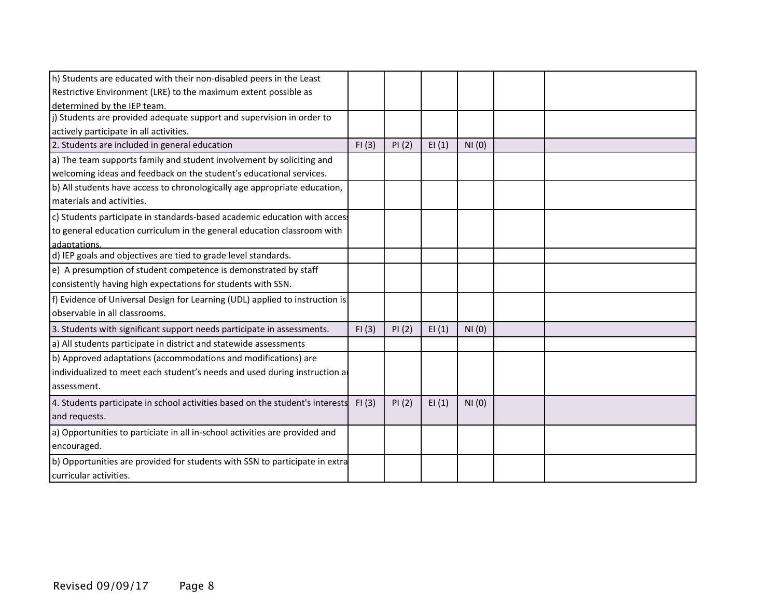| h) Students are educated with their non-disabled peers in the Least           |       |       |       |       |  |
|-------------------------------------------------------------------------------|-------|-------|-------|-------|--|
| Restrictive Environment (LRE) to the maximum extent possible as               |       |       |       |       |  |
| determined by the IEP team.                                                   |       |       |       |       |  |
| j) Students are provided adequate support and supervision in order to         |       |       |       |       |  |
| actively participate in all activities.                                       |       |       |       |       |  |
| 2. Students are included in general education                                 | FI(3) | PI(2) | EI(1) | NI(0) |  |
| a) The team supports family and student involvement by soliciting and         |       |       |       |       |  |
| welcoming ideas and feedback on the student's educational services.           |       |       |       |       |  |
| b) All students have access to chronologically age appropriate education,     |       |       |       |       |  |
| materials and activities.                                                     |       |       |       |       |  |
| c) Students participate in standards-based academic education with access     |       |       |       |       |  |
| to general education curriculum in the general education classroom with       |       |       |       |       |  |
| adaptations.                                                                  |       |       |       |       |  |
| d) IEP goals and objectives are tied to grade level standards.                |       |       |       |       |  |
| e) A presumption of student competence is demonstrated by staff               |       |       |       |       |  |
| consistently having high expectations for students with SSN.                  |       |       |       |       |  |
| f) Evidence of Universal Design for Learning (UDL) applied to instruction is  |       |       |       |       |  |
| observable in all classrooms.                                                 |       |       |       |       |  |
| 3. Students with significant support needs participate in assessments.        | FI(3) | PI(2) | EI(1) | NI(0) |  |
| a) All students participate in district and statewide assessments             |       |       |       |       |  |
| b) Approved adaptations (accommodations and modifications) are                |       |       |       |       |  |
| individualized to meet each student's needs and used during instruction a     |       |       |       |       |  |
| assessment.                                                                   |       |       |       |       |  |
| 4. Students participate in school activities based on the student's interests | FI(3) | PI(2) | EI(1) | NI(0) |  |
| and requests.                                                                 |       |       |       |       |  |
| a) Opportunities to particiate in all in-school activities are provided and   |       |       |       |       |  |
| encouraged.                                                                   |       |       |       |       |  |
| b) Opportunities are provided for students with SSN to participate in extra   |       |       |       |       |  |
| curricular activities.                                                        |       |       |       |       |  |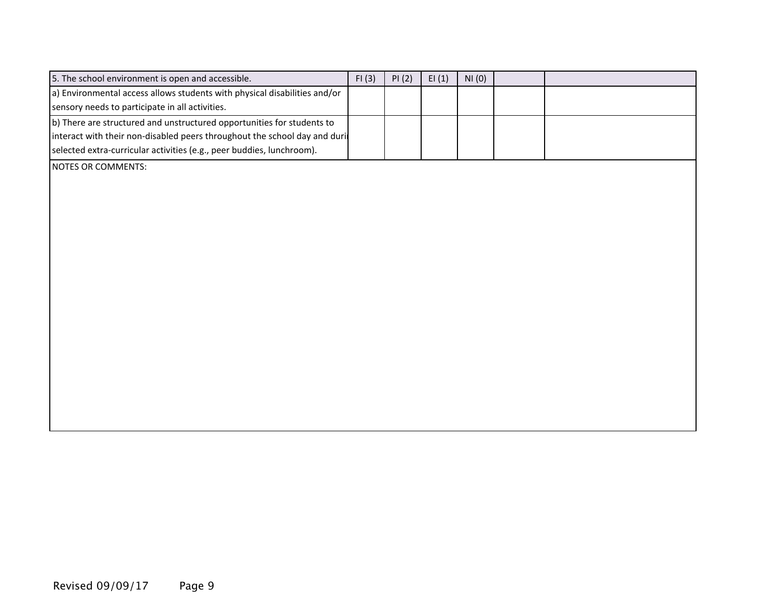| 5. The school environment is open and accessible.                          | FI(3) | PI(2) | EI $(1)$ | NI(0) |  |
|----------------------------------------------------------------------------|-------|-------|----------|-------|--|
| a) Environmental access allows students with physical disabilities and/or  |       |       |          |       |  |
| sensory needs to participate in all activities.                            |       |       |          |       |  |
| b) There are structured and unstructured opportunities for students to     |       |       |          |       |  |
| interact with their non-disabled peers throughout the school day and durin |       |       |          |       |  |
| selected extra-curricular activities (e.g., peer buddies, lunchroom).      |       |       |          |       |  |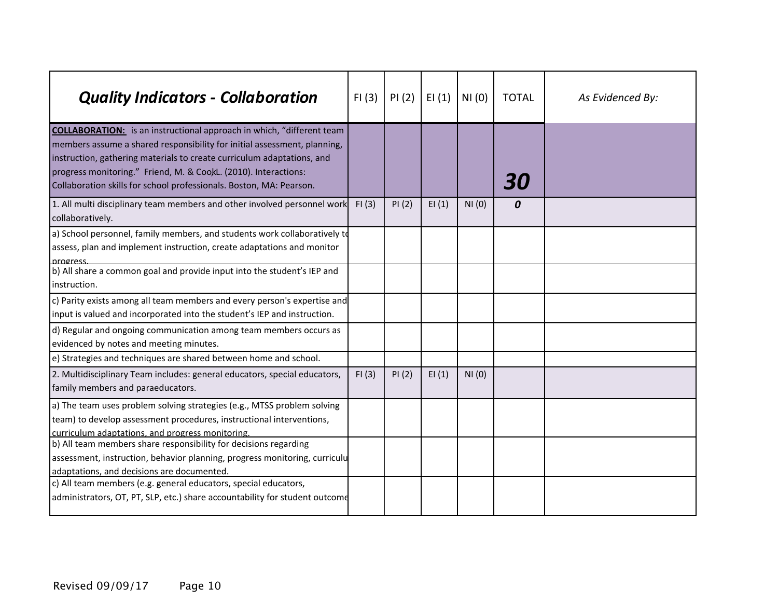| <b>Quality Indicators - Collaboration</b>                                                                                                                                                                                                                                                                                                                                    | FI(3) | PI(2) | EI $(1)$ | NI(0) | <b>TOTAL</b> | As Evidenced By: |
|------------------------------------------------------------------------------------------------------------------------------------------------------------------------------------------------------------------------------------------------------------------------------------------------------------------------------------------------------------------------------|-------|-------|----------|-------|--------------|------------------|
| <b>COLLABORATION:</b> is an instructional approach in which, "different team<br>members assume a shared responsibility for initial assessment, planning,<br>instruction, gathering materials to create curriculum adaptations, and<br>progress monitoring." Friend, M. & CookL. (2010). Interactions:<br>Collaboration skills for school professionals. Boston, MA: Pearson. |       |       |          |       | 30           |                  |
| 1. All multi disciplinary team members and other involved personnel work<br>collaboratively.                                                                                                                                                                                                                                                                                 | FI(3) | PI(2) | EI(1)    | NI(0) | 0            |                  |
| a) School personnel, family members, and students work collaboratively to<br>assess, plan and implement instruction, create adaptations and monitor<br>progress                                                                                                                                                                                                              |       |       |          |       |              |                  |
| b) All share a common goal and provide input into the student's IEP and<br>instruction.                                                                                                                                                                                                                                                                                      |       |       |          |       |              |                  |
| c) Parity exists among all team members and every person's expertise and<br>input is valued and incorporated into the student's IEP and instruction.                                                                                                                                                                                                                         |       |       |          |       |              |                  |
| d) Regular and ongoing communication among team members occurs as<br>evidenced by notes and meeting minutes.                                                                                                                                                                                                                                                                 |       |       |          |       |              |                  |
| e) Strategies and techniques are shared between home and school.                                                                                                                                                                                                                                                                                                             |       |       |          |       |              |                  |
| 2. Multidisciplinary Team includes: general educators, special educators,<br>family members and paraeducators.                                                                                                                                                                                                                                                               | FI(3) | PI(2) | EI(1)    | NI(0) |              |                  |
| a) The team uses problem solving strategies (e.g., MTSS problem solving<br>team) to develop assessment procedures, instructional interventions,<br>curriculum adaptations. and progress monitoring.                                                                                                                                                                          |       |       |          |       |              |                  |
| b) All team members share responsibility for decisions regarding<br>assessment, instruction, behavior planning, progress monitoring, curriculu<br>adaptations, and decisions are documented.                                                                                                                                                                                 |       |       |          |       |              |                  |
| c) All team members (e.g. general educators, special educators,<br>administrators, OT, PT, SLP, etc.) share accountability for student outcome                                                                                                                                                                                                                               |       |       |          |       |              |                  |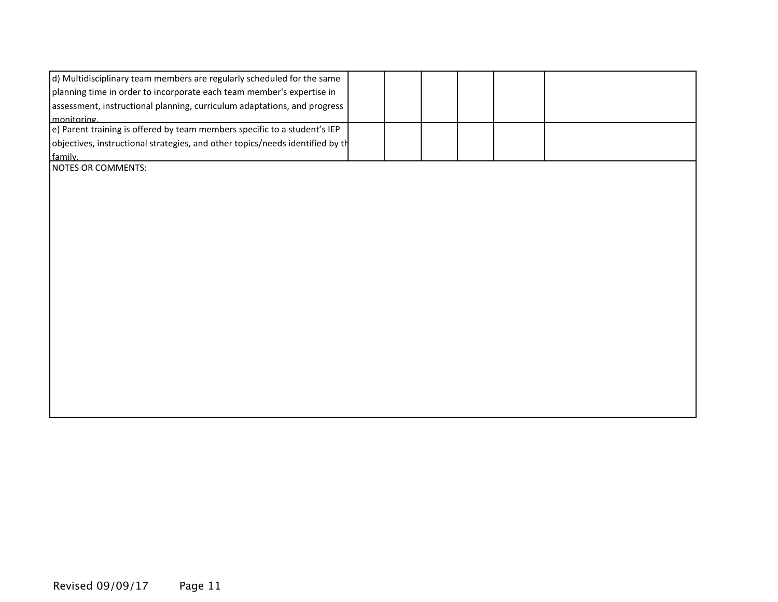| d) Multidisciplinary team members are regularly scheduled for the same         |  |  |  |
|--------------------------------------------------------------------------------|--|--|--|
| planning time in order to incorporate each team member's expertise in          |  |  |  |
| assessment, instructional planning, curriculum adaptations, and progress       |  |  |  |
| monitoring                                                                     |  |  |  |
| e) Parent training is offered by team members specific to a student's IEP      |  |  |  |
| objectives, instructional strategies, and other topics/needs identified by the |  |  |  |
| family.                                                                        |  |  |  |
|                                                                                |  |  |  |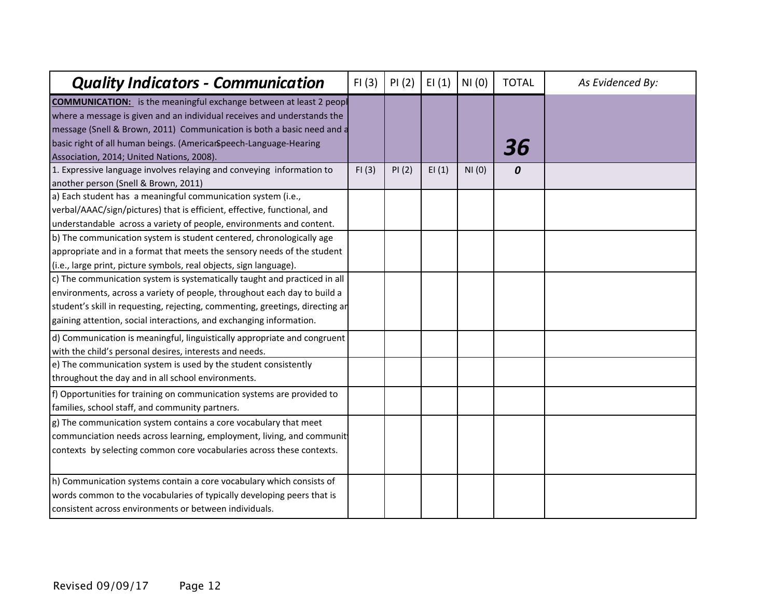| <b>Quality Indicators - Communication</b>                                                                                                                                                                                                                                                                                                        | FI(3) | PI(2) | EI $(1)$ | NI(0) | <b>TOTAL</b> | As Evidenced By: |
|--------------------------------------------------------------------------------------------------------------------------------------------------------------------------------------------------------------------------------------------------------------------------------------------------------------------------------------------------|-------|-------|----------|-------|--------------|------------------|
| <b>COMMUNICATION:</b> is the meaningful exchange between at least 2 peopl<br>where a message is given and an individual receives and understands the<br>message (Snell & Brown, 2011) Communication is both a basic need and a<br>basic right of all human beings. (AmericanSpeech-Language-Hearing<br>Association, 2014; United Nations, 2008). |       |       |          |       | 36           |                  |
| 1. Expressive language involves relaying and conveying information to<br>another person (Snell & Brown, 2011)                                                                                                                                                                                                                                    | FI(3) | PI(2) | EI(1)    | NI(0) | 0            |                  |
| a) Each student has a meaningful communication system (i.e.,<br>verbal/AAAC/sign/pictures) that is efficient, effective, functional, and<br>understandable across a variety of people, environments and content.<br>b) The communication system is student centered, chronologically age                                                         |       |       |          |       |              |                  |
| appropriate and in a format that meets the sensory needs of the student<br>(i.e., large print, picture symbols, real objects, sign language).                                                                                                                                                                                                    |       |       |          |       |              |                  |
| c) The communication system is systematically taught and practiced in all<br>environments, across a variety of people, throughout each day to build a<br>student's skill in requesting, rejecting, commenting, greetings, directing an<br>gaining attention, social interactions, and exchanging information.                                    |       |       |          |       |              |                  |
| d) Communication is meaningful, linguistically appropriate and congruent<br>with the child's personal desires, interests and needs.                                                                                                                                                                                                              |       |       |          |       |              |                  |
| e) The communication system is used by the student consistently<br>throughout the day and in all school environments.                                                                                                                                                                                                                            |       |       |          |       |              |                  |
| f) Opportunities for training on communication systems are provided to<br>families, school staff, and community partners.                                                                                                                                                                                                                        |       |       |          |       |              |                  |
| g) The communication system contains a core vocabulary that meet<br>communciation needs across learning, employment, living, and community<br>contexts by selecting common core vocabularies across these contexts.                                                                                                                              |       |       |          |       |              |                  |
| h) Communication systems contain a core vocabulary which consists of<br>words common to the vocabularies of typically developing peers that is<br>consistent across environments or between individuals.                                                                                                                                         |       |       |          |       |              |                  |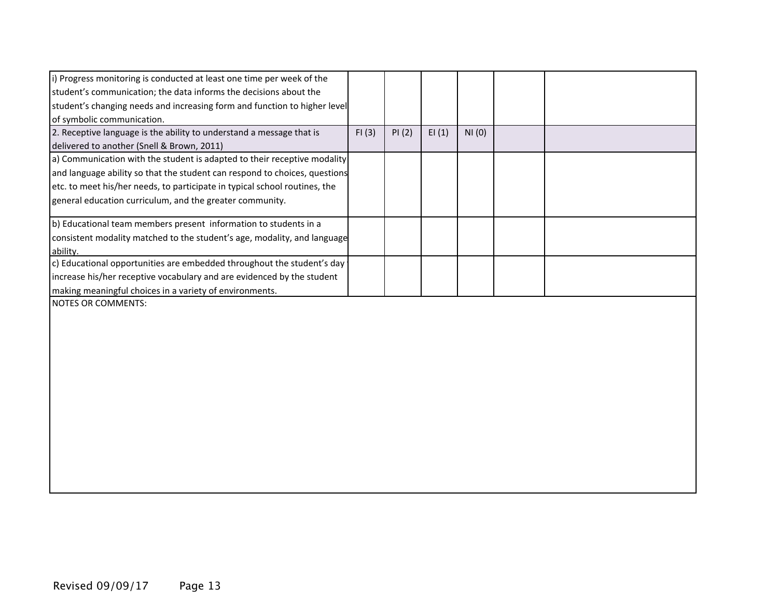| i) Progress monitoring is conducted at least one time per week of the      |       |       |       |       |  |
|----------------------------------------------------------------------------|-------|-------|-------|-------|--|
| student's communication; the data informs the decisions about the          |       |       |       |       |  |
| student's changing needs and increasing form and function to higher level  |       |       |       |       |  |
| of symbolic communication.                                                 |       |       |       |       |  |
| 2. Receptive language is the ability to understand a message that is       | FI(3) | PI(2) | EI(1) | NI(0) |  |
| delivered to another (Snell & Brown, 2011)                                 |       |       |       |       |  |
| a) Communication with the student is adapted to their receptive modality   |       |       |       |       |  |
| and language ability so that the student can respond to choices, questions |       |       |       |       |  |
| etc. to meet his/her needs, to participate in typical school routines, the |       |       |       |       |  |
| general education curriculum, and the greater community.                   |       |       |       |       |  |
|                                                                            |       |       |       |       |  |
| b) Educational team members present information to students in a           |       |       |       |       |  |
| consistent modality matched to the student's age, modality, and language   |       |       |       |       |  |
| ability.                                                                   |       |       |       |       |  |
| c) Educational opportunities are embedded throughout the student's day     |       |       |       |       |  |
| increase his/her receptive vocabulary and are evidenced by the student     |       |       |       |       |  |
| making meaningful choices in a variety of environments.                    |       |       |       |       |  |
| <b>NOTES OR COMMENTS:</b>                                                  |       |       |       |       |  |
|                                                                            |       |       |       |       |  |
|                                                                            |       |       |       |       |  |
|                                                                            |       |       |       |       |  |
|                                                                            |       |       |       |       |  |
|                                                                            |       |       |       |       |  |
|                                                                            |       |       |       |       |  |
|                                                                            |       |       |       |       |  |
|                                                                            |       |       |       |       |  |
|                                                                            |       |       |       |       |  |
|                                                                            |       |       |       |       |  |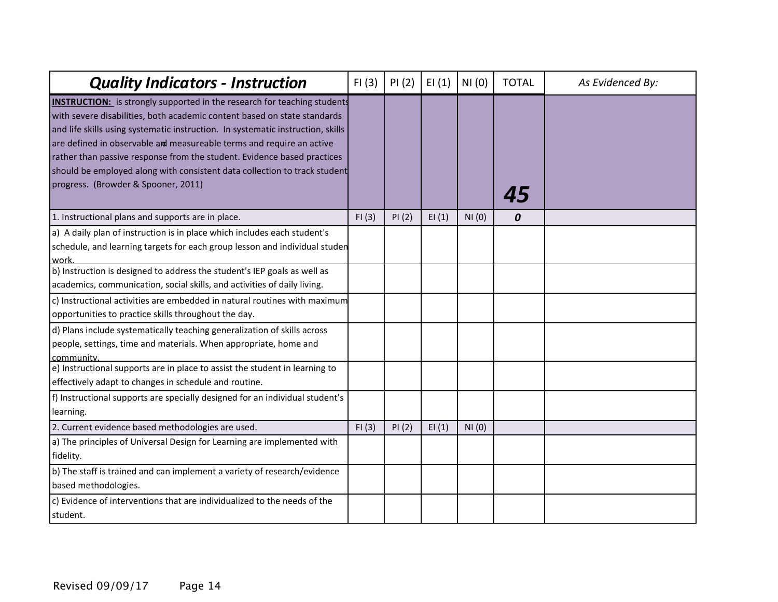| <b>Quality Indicators - Instruction</b>                                                                                                                                                                                                                                                                                                                                                                                                                                                                                | FI(3) | PI(2) | EI $(1)$ | NI(0) | <b>TOTAL</b> | As Evidenced By: |
|------------------------------------------------------------------------------------------------------------------------------------------------------------------------------------------------------------------------------------------------------------------------------------------------------------------------------------------------------------------------------------------------------------------------------------------------------------------------------------------------------------------------|-------|-------|----------|-------|--------------|------------------|
| <b>INSTRUCTION:</b> is strongly supported in the research for teaching students<br>with severe disabilities, both academic content based on state standards<br>and life skills using systematic instruction. In systematic instruction, skills<br>are defined in observable and measureable terms and require an active<br>rather than passive response from the student. Evidence based practices<br>should be employed along with consistent data collection to track student<br>progress. (Browder & Spooner, 2011) |       |       |          |       | 45           |                  |
| 1. Instructional plans and supports are in place.                                                                                                                                                                                                                                                                                                                                                                                                                                                                      | FI(3) | PI(2) | EI(1)    | NI(0) | 0            |                  |
| a) A daily plan of instruction is in place which includes each student's<br>schedule, and learning targets for each group lesson and individual studen<br>work.                                                                                                                                                                                                                                                                                                                                                        |       |       |          |       |              |                  |
| b) Instruction is designed to address the student's IEP goals as well as<br>academics, communication, social skills, and activities of daily living.                                                                                                                                                                                                                                                                                                                                                                   |       |       |          |       |              |                  |
| c) Instructional activities are embedded in natural routines with maximum<br>opportunities to practice skills throughout the day.                                                                                                                                                                                                                                                                                                                                                                                      |       |       |          |       |              |                  |
| d) Plans include systematically teaching generalization of skills across<br>people, settings, time and materials. When appropriate, home and<br>community.                                                                                                                                                                                                                                                                                                                                                             |       |       |          |       |              |                  |
| e) Instructional supports are in place to assist the student in learning to<br>effectively adapt to changes in schedule and routine.                                                                                                                                                                                                                                                                                                                                                                                   |       |       |          |       |              |                  |
| f) Instructional supports are specially designed for an individual student's<br>learning.                                                                                                                                                                                                                                                                                                                                                                                                                              |       |       |          |       |              |                  |
| 2. Current evidence based methodologies are used.                                                                                                                                                                                                                                                                                                                                                                                                                                                                      | FI(3) | PI(2) | EI(1)    | NI(0) |              |                  |
| a) The principles of Universal Design for Learning are implemented with<br>fidelity.                                                                                                                                                                                                                                                                                                                                                                                                                                   |       |       |          |       |              |                  |
| b) The staff is trained and can implement a variety of research/evidence<br>based methodologies.                                                                                                                                                                                                                                                                                                                                                                                                                       |       |       |          |       |              |                  |
| c) Evidence of interventions that are individualized to the needs of the<br>student.                                                                                                                                                                                                                                                                                                                                                                                                                                   |       |       |          |       |              |                  |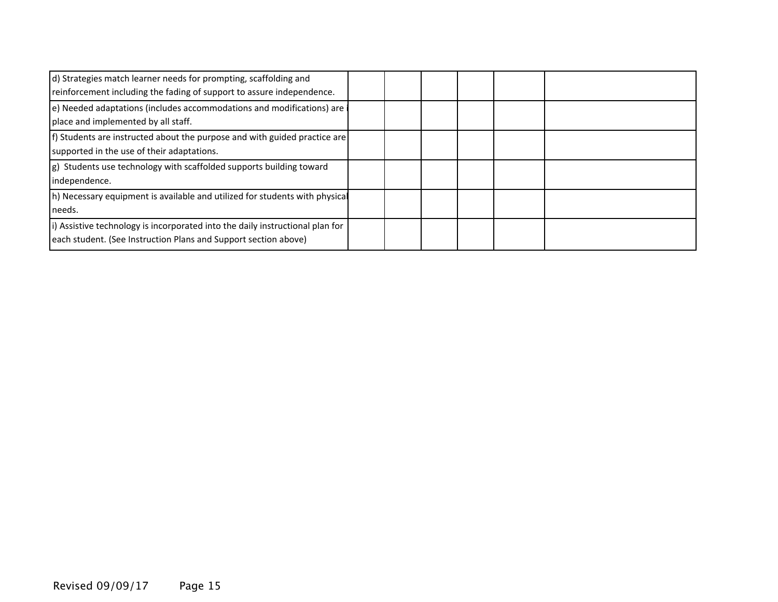| d) Strategies match learner needs for prompting, scaffolding and              |  |  |  |
|-------------------------------------------------------------------------------|--|--|--|
| reinforcement including the fading of support to assure independence.         |  |  |  |
| e) Needed adaptations (includes accommodations and modifications) are i       |  |  |  |
| place and implemented by all staff.                                           |  |  |  |
| f) Students are instructed about the purpose and with guided practice are     |  |  |  |
| supported in the use of their adaptations.                                    |  |  |  |
| g) Students use technology with scaffolded supports building toward           |  |  |  |
| independence.                                                                 |  |  |  |
| h) Necessary equipment is available and utilized for students with physical   |  |  |  |
| needs.                                                                        |  |  |  |
| i) Assistive technology is incorporated into the daily instructional plan for |  |  |  |
|                                                                               |  |  |  |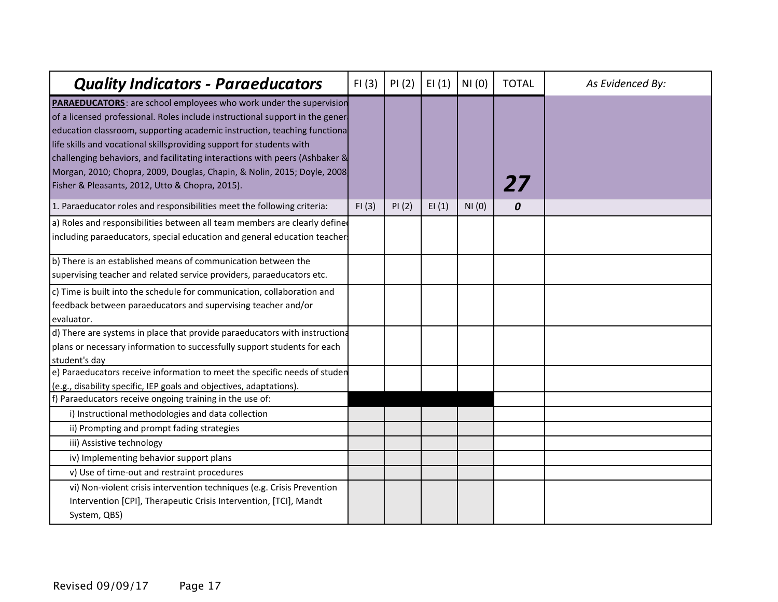| <b>Quality Indicators - Paraeducators</b>                                                                                                                                                                                                                                                                                                                                                                                                                                                                                  | FI(3) | PI(2) | EI $(1)$ | NI(0) | <b>TOTAL</b> | As Evidenced By: |
|----------------------------------------------------------------------------------------------------------------------------------------------------------------------------------------------------------------------------------------------------------------------------------------------------------------------------------------------------------------------------------------------------------------------------------------------------------------------------------------------------------------------------|-------|-------|----------|-------|--------------|------------------|
| <b>PARAEDUCATORS:</b> are school employees who work under the supervision<br>of a licensed professional. Roles include instructional support in the gener<br>education classroom, supporting academic instruction, teaching functiona<br>life skills and vocational skillsproviding support for students with<br>challenging behaviors, and facilitating interactions with peers (Ashbaker &<br>Morgan, 2010; Chopra, 2009, Douglas, Chapin, & Nolin, 2015; Doyle, 2008<br>Fisher & Pleasants, 2012, Utto & Chopra, 2015). |       |       |          |       | 27           |                  |
| 1. Paraeducator roles and responsibilities meet the following criteria:                                                                                                                                                                                                                                                                                                                                                                                                                                                    | FI(3) | PI(2) | EI(1)    | NI(0) | 0            |                  |
| a) Roles and responsibilities between all team members are clearly defined<br>including paraeducators, special education and general education teacher                                                                                                                                                                                                                                                                                                                                                                     |       |       |          |       |              |                  |
| b) There is an established means of communication between the                                                                                                                                                                                                                                                                                                                                                                                                                                                              |       |       |          |       |              |                  |
| supervising teacher and related service providers, paraeducators etc.                                                                                                                                                                                                                                                                                                                                                                                                                                                      |       |       |          |       |              |                  |
| c) Time is built into the schedule for communication, collaboration and<br>feedback between paraeducators and supervising teacher and/or<br>evaluator.                                                                                                                                                                                                                                                                                                                                                                     |       |       |          |       |              |                  |
| d) There are systems in place that provide paraeducators with instructiona                                                                                                                                                                                                                                                                                                                                                                                                                                                 |       |       |          |       |              |                  |
| plans or necessary information to successfully support students for each                                                                                                                                                                                                                                                                                                                                                                                                                                                   |       |       |          |       |              |                  |
| student's day                                                                                                                                                                                                                                                                                                                                                                                                                                                                                                              |       |       |          |       |              |                  |
| e) Paraeducators receive information to meet the specific needs of studen                                                                                                                                                                                                                                                                                                                                                                                                                                                  |       |       |          |       |              |                  |
| (e.g., disability specific, IEP goals and objectives, adaptations).<br>f) Paraeducators receive ongoing training in the use of:                                                                                                                                                                                                                                                                                                                                                                                            |       |       |          |       |              |                  |
| i) Instructional methodologies and data collection                                                                                                                                                                                                                                                                                                                                                                                                                                                                         |       |       |          |       |              |                  |
| ii) Prompting and prompt fading strategies                                                                                                                                                                                                                                                                                                                                                                                                                                                                                 |       |       |          |       |              |                  |
| iii) Assistive technology                                                                                                                                                                                                                                                                                                                                                                                                                                                                                                  |       |       |          |       |              |                  |
| iv) Implementing behavior support plans                                                                                                                                                                                                                                                                                                                                                                                                                                                                                    |       |       |          |       |              |                  |
| v) Use of time-out and restraint procedures                                                                                                                                                                                                                                                                                                                                                                                                                                                                                |       |       |          |       |              |                  |
| vi) Non-violent crisis intervention techniques (e.g. Crisis Prevention<br>Intervention [CPI], Therapeutic Crisis Intervention, [TCI], Mandt<br>System, QBS)                                                                                                                                                                                                                                                                                                                                                                |       |       |          |       |              |                  |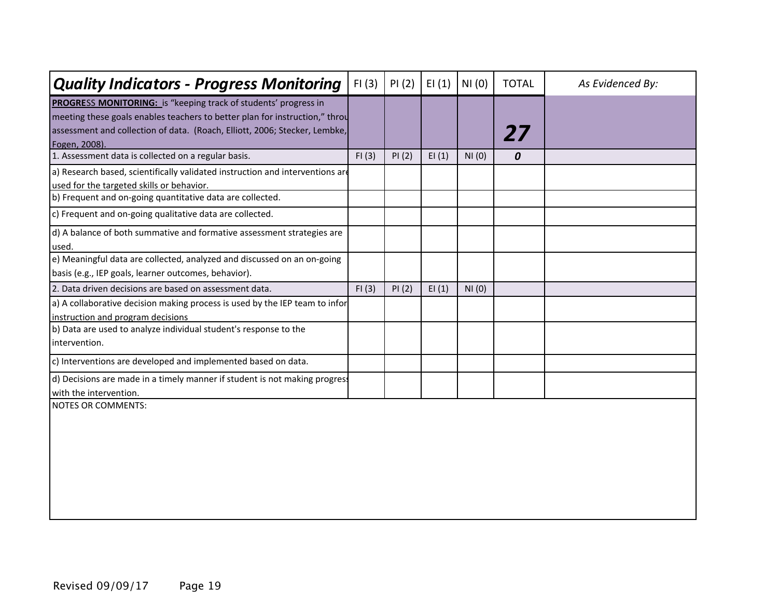| <b>Quality Indicators - Progress Monitoring</b>                                                                                                                                                                                               | FI(3) | PI(2) | EI $(1)$ | NI (0) | <b>TOTAL</b> | As Evidenced By: |
|-----------------------------------------------------------------------------------------------------------------------------------------------------------------------------------------------------------------------------------------------|-------|-------|----------|--------|--------------|------------------|
| PROGRESS MONITORING: is "keeping track of students' progress in<br>meeting these goals enables teachers to better plan for instruction," throu<br>assessment and collection of data. (Roach, Elliott, 2006; Stecker, Lembke,<br>Fogen, 2008). |       |       |          |        | 27           |                  |
| 1. Assessment data is collected on a regular basis.                                                                                                                                                                                           | FI(3) | PI(2) | EI $(1)$ | NI(0)  | 0            |                  |
| a) Research based, scientifically validated instruction and interventions are<br>used for the targeted skills or behavior.                                                                                                                    |       |       |          |        |              |                  |
| b) Frequent and on-going quantitative data are collected.                                                                                                                                                                                     |       |       |          |        |              |                  |
| c) Frequent and on-going qualitative data are collected.                                                                                                                                                                                      |       |       |          |        |              |                  |
| d) A balance of both summative and formative assessment strategies are<br>used.                                                                                                                                                               |       |       |          |        |              |                  |
| e) Meaningful data are collected, analyzed and discussed on an on-going<br>basis (e.g., IEP goals, learner outcomes, behavior).                                                                                                               |       |       |          |        |              |                  |
| 2. Data driven decisions are based on assessment data.                                                                                                                                                                                        | FI(3) | PI(2) | EI $(1)$ | NI(0)  |              |                  |
| a) A collaborative decision making process is used by the IEP team to infor<br>instruction and program decisions                                                                                                                              |       |       |          |        |              |                  |
| b) Data are used to analyze individual student's response to the<br>intervention.                                                                                                                                                             |       |       |          |        |              |                  |
| c) Interventions are developed and implemented based on data.                                                                                                                                                                                 |       |       |          |        |              |                  |
| d) Decisions are made in a timely manner if student is not making progress<br>with the intervention.                                                                                                                                          |       |       |          |        |              |                  |
| <b>NOTES OR COMMENTS:</b>                                                                                                                                                                                                                     |       |       |          |        |              |                  |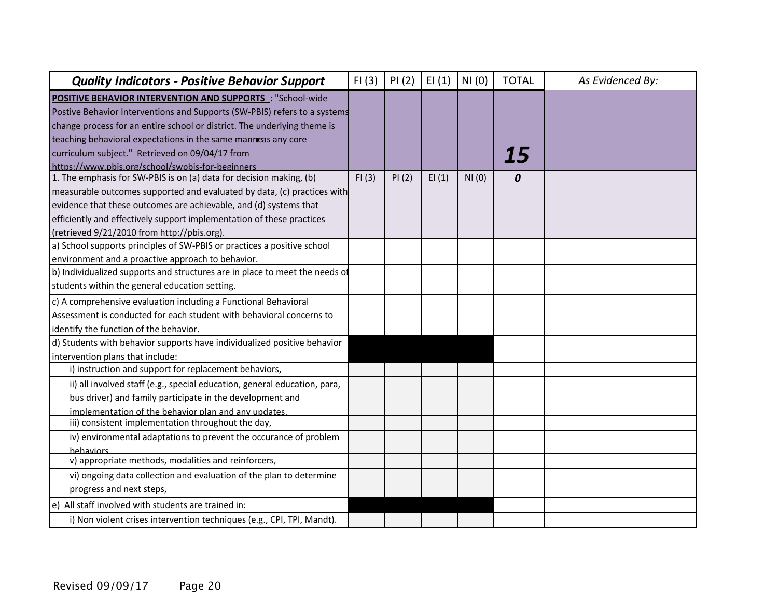| <b>Quality Indicators - Positive Behavior Support</b>                       | FI(3) | PI(2) | EI(1) | NI(0) | <b>TOTAL</b> | As Evidenced By: |
|-----------------------------------------------------------------------------|-------|-------|-------|-------|--------------|------------------|
| POSITIVE BEHAVIOR INTERVENTION AND SUPPORTS : "School-wide                  |       |       |       |       |              |                  |
| Postive Behavior Interventions and Supports (SW-PBIS) refers to a systems   |       |       |       |       |              |                  |
| change process for an entire school or district. The underlying theme is    |       |       |       |       |              |                  |
| teaching behavioral expectations in the same manneas any core               |       |       |       |       |              |                  |
| curriculum subject." Retrieved on 09/04/17 from                             |       |       |       |       | 15           |                  |
| https://www.pbis.org/school/swpbis-for-beginners                            |       |       |       |       |              |                  |
| 1. The emphasis for SW-PBIS is on (a) data for decision making, (b)         | FI(3) | PI(2) | EI(1) | NI(0) | 0            |                  |
| measurable outcomes supported and evaluated by data, (c) practices with     |       |       |       |       |              |                  |
| evidence that these outcomes are achievable, and (d) systems that           |       |       |       |       |              |                  |
| efficiently and effectively support implementation of these practices       |       |       |       |       |              |                  |
| (retrieved 9/21/2010 from http://pbis.org).                                 |       |       |       |       |              |                  |
| a) School supports principles of SW-PBIS or practices a positive school     |       |       |       |       |              |                  |
| environment and a proactive approach to behavior.                           |       |       |       |       |              |                  |
| b) Individualized supports and structures are in place to meet the needs of |       |       |       |       |              |                  |
| students within the general education setting.                              |       |       |       |       |              |                  |
| c) A comprehensive evaluation including a Functional Behavioral             |       |       |       |       |              |                  |
| Assessment is conducted for each student with behavioral concerns to        |       |       |       |       |              |                  |
| identify the function of the behavior.                                      |       |       |       |       |              |                  |
| d) Students with behavior supports have individualized positive behavior    |       |       |       |       |              |                  |
| intervention plans that include:                                            |       |       |       |       |              |                  |
| i) instruction and support for replacement behaviors,                       |       |       |       |       |              |                  |
| ii) all involved staff (e.g., special education, general education, para,   |       |       |       |       |              |                  |
| bus driver) and family participate in the development and                   |       |       |       |       |              |                  |
| implementation of the behavior plan and any updates.                        |       |       |       |       |              |                  |
| iii) consistent implementation throughout the day,                          |       |       |       |       |              |                  |
| iv) environmental adaptations to prevent the occurance of problem           |       |       |       |       |              |                  |
| hehaviors<br>v) appropriate methods, modalities and reinforcers,            |       |       |       |       |              |                  |
|                                                                             |       |       |       |       |              |                  |
| vi) ongoing data collection and evaluation of the plan to determine         |       |       |       |       |              |                  |
| progress and next steps,                                                    |       |       |       |       |              |                  |
| e) All staff involved with students are trained in:                         |       |       |       |       |              |                  |
| i) Non violent crises intervention techniques (e.g., CPI, TPI, Mandt).      |       |       |       |       |              |                  |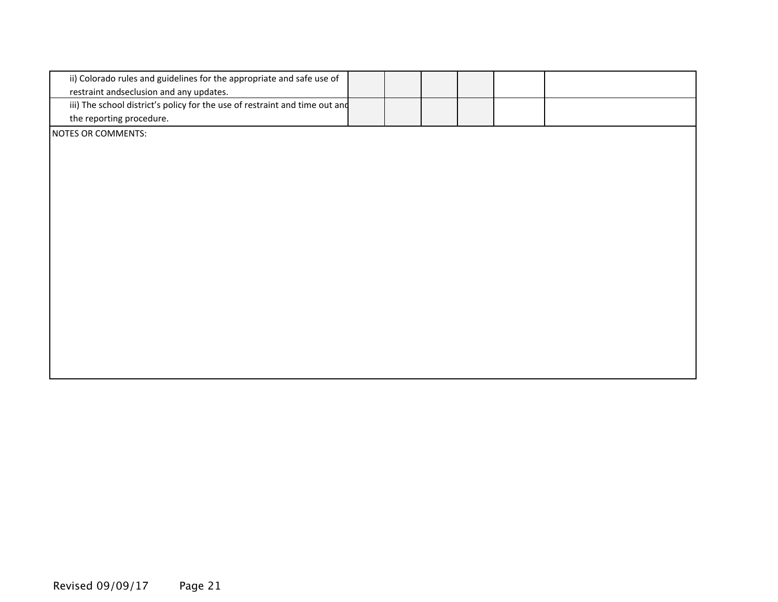| ii) Colorado rules and guidelines for the appropriate and safe use of       |  |  |  |
|-----------------------------------------------------------------------------|--|--|--|
| restraint andseclusion and any updates.                                     |  |  |  |
| iii) The school district's policy for the use of restraint and time out and |  |  |  |
| the reporting procedure.                                                    |  |  |  |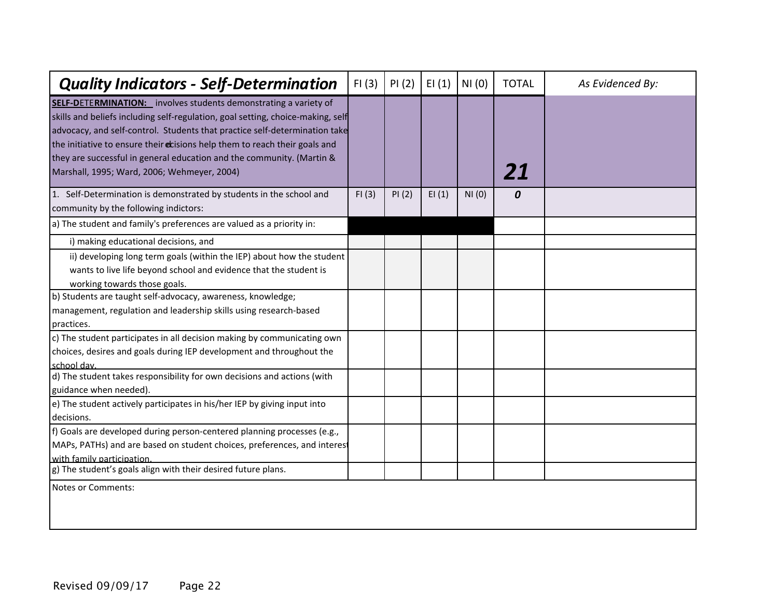| <b>Quality Indicators - Self-Determination</b>                                                                                                                                                                                                                                                                                                                                                                                                 | FI(3) | PI(2) | EI $(1)$ | NI(0) | <b>TOTAL</b> | As Evidenced By: |
|------------------------------------------------------------------------------------------------------------------------------------------------------------------------------------------------------------------------------------------------------------------------------------------------------------------------------------------------------------------------------------------------------------------------------------------------|-------|-------|----------|-------|--------------|------------------|
| <b>SELF-DETERMINATION:</b> involves students demonstrating a variety of<br>skills and beliefs including self-regulation, goal setting, choice-making, self<br>advocacy, and self-control. Students that practice self-determination take<br>the initiative to ensure their ecisions help them to reach their goals and<br>they are successful in general education and the community. (Martin &<br>Marshall, 1995; Ward, 2006; Wehmeyer, 2004) |       |       |          |       | 21           |                  |
| 1. Self-Determination is demonstrated by students in the school and<br>community by the following indictors:                                                                                                                                                                                                                                                                                                                                   | FI(3) | PI(2) | EI(1)    | NI(0) | 0            |                  |
| a) The student and family's preferences are valued as a priority in:                                                                                                                                                                                                                                                                                                                                                                           |       |       |          |       |              |                  |
| i) making educational decisions, and                                                                                                                                                                                                                                                                                                                                                                                                           |       |       |          |       |              |                  |
| ii) developing long term goals (within the IEP) about how the student<br>wants to live life beyond school and evidence that the student is<br>working towards those goals.                                                                                                                                                                                                                                                                     |       |       |          |       |              |                  |
| b) Students are taught self-advocacy, awareness, knowledge;<br>management, regulation and leadership skills using research-based<br>practices.                                                                                                                                                                                                                                                                                                 |       |       |          |       |              |                  |
| c) The student participates in all decision making by communicating own<br>choices, desires and goals during IEP development and throughout the<br>school dav.                                                                                                                                                                                                                                                                                 |       |       |          |       |              |                  |
| d) The student takes responsibility for own decisions and actions (with<br>guidance when needed).                                                                                                                                                                                                                                                                                                                                              |       |       |          |       |              |                  |
| e) The student actively participates in his/her IEP by giving input into<br>decisions.                                                                                                                                                                                                                                                                                                                                                         |       |       |          |       |              |                  |
| f) Goals are developed during person-centered planning processes (e.g.,<br>MAPs, PATHs) and are based on student choices, preferences, and interest<br>with family participation.                                                                                                                                                                                                                                                              |       |       |          |       |              |                  |
| g) The student's goals align with their desired future plans.                                                                                                                                                                                                                                                                                                                                                                                  |       |       |          |       |              |                  |
| <b>Notes or Comments:</b>                                                                                                                                                                                                                                                                                                                                                                                                                      |       |       |          |       |              |                  |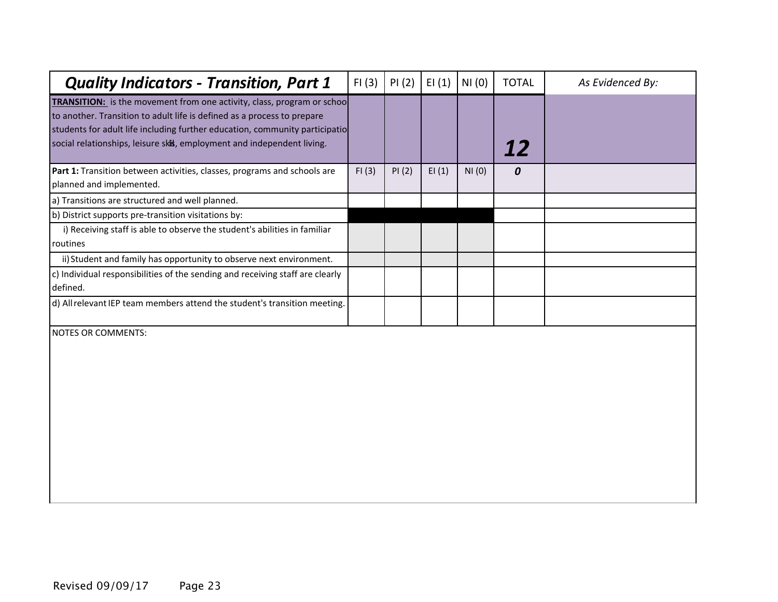| <b>Quality Indicators - Transition, Part 1</b>                                                                                                                                                                                                                                                                     | FI(3) | PI(2) | EI $(1)$ | NI(0) | <b>TOTAL</b> | As Evidenced By: |
|--------------------------------------------------------------------------------------------------------------------------------------------------------------------------------------------------------------------------------------------------------------------------------------------------------------------|-------|-------|----------|-------|--------------|------------------|
| <b>TRANSITION:</b> is the movement from one activity, class, program or school<br>to another. Transition to adult life is defined as a process to prepare<br>students for adult life including further education, community participatio<br>social relationships, leisure skis, employment and independent living. |       |       |          |       | 12           |                  |
| Part 1: Transition between activities, classes, programs and schools are<br>planned and implemented.                                                                                                                                                                                                               | FI(3) | PI(2) | EI(1)    | NI(0) | 0            |                  |
| a) Transitions are structured and well planned.                                                                                                                                                                                                                                                                    |       |       |          |       |              |                  |
| b) District supports pre-transition visitations by:                                                                                                                                                                                                                                                                |       |       |          |       |              |                  |
| i) Receiving staff is able to observe the student's abilities in familiar<br>routines                                                                                                                                                                                                                              |       |       |          |       |              |                  |
| ii) Student and family has opportunity to observe next environment.                                                                                                                                                                                                                                                |       |       |          |       |              |                  |
| c) Individual responsibilities of the sending and receiving staff are clearly<br>defined.                                                                                                                                                                                                                          |       |       |          |       |              |                  |
| d) All relevant IEP team members attend the student's transition meeting.                                                                                                                                                                                                                                          |       |       |          |       |              |                  |
| <b>NOTES OR COMMENTS:</b>                                                                                                                                                                                                                                                                                          |       |       |          |       |              |                  |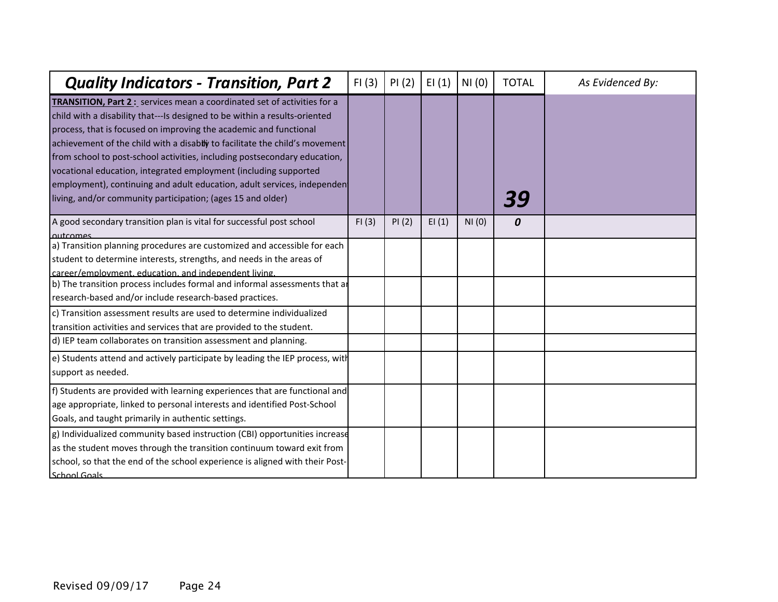| <b>Quality Indicators - Transition, Part 2</b>                                                                                                                                                                                                                                                                                                                                                                                                                                                                                                                                                        | FI(3) | PI(2) | EI $(1)$ | NI(0) | <b>TOTAL</b>     | As Evidenced By: |
|-------------------------------------------------------------------------------------------------------------------------------------------------------------------------------------------------------------------------------------------------------------------------------------------------------------------------------------------------------------------------------------------------------------------------------------------------------------------------------------------------------------------------------------------------------------------------------------------------------|-------|-------|----------|-------|------------------|------------------|
| TRANSITION, Part 2: services mean a coordinated set of activities for a<br>child with a disability that---Is designed to be within a results-oriented<br>process, that is focused on improving the academic and functional<br>achievement of the child with a disabily to facilitate the child's movement<br>from school to post-school activities, including postsecondary education,<br>vocational education, integrated employment (including supported<br>employment), continuing and adult education, adult services, independent<br>living, and/or community participation; (ages 15 and older) |       |       |          |       | <i><b>39</b></i> |                  |
| A good secondary transition plan is vital for successful post school<br><b>Outcomes</b>                                                                                                                                                                                                                                                                                                                                                                                                                                                                                                               | FI(3) | PI(2) | EI $(1)$ | NI(0) | 0                |                  |
| a) Transition planning procedures are customized and accessible for each<br>student to determine interests, strengths, and needs in the areas of<br>career/employment. education. and independent living.<br>b) The transition process includes formal and informal assessments that are<br>research-based and/or include research-based practices.                                                                                                                                                                                                                                                   |       |       |          |       |                  |                  |
| c) Transition assessment results are used to determine individualized<br>transition activities and services that are provided to the student.                                                                                                                                                                                                                                                                                                                                                                                                                                                         |       |       |          |       |                  |                  |
| d) IEP team collaborates on transition assessment and planning.<br>e) Students attend and actively participate by leading the IEP process, with<br>support as needed.                                                                                                                                                                                                                                                                                                                                                                                                                                 |       |       |          |       |                  |                  |
| f) Students are provided with learning experiences that are functional and<br>age appropriate, linked to personal interests and identified Post-School<br>Goals, and taught primarily in authentic settings.                                                                                                                                                                                                                                                                                                                                                                                          |       |       |          |       |                  |                  |
| g) Individualized community based instruction (CBI) opportunities increase<br>as the student moves through the transition continuum toward exit from<br>school, so that the end of the school experience is aligned with their Post-<br>School Goals                                                                                                                                                                                                                                                                                                                                                  |       |       |          |       |                  |                  |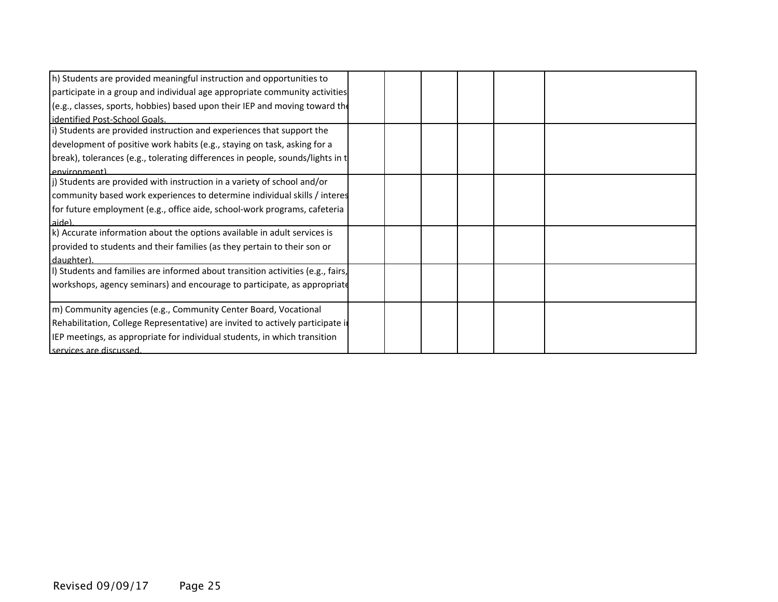| h) Students are provided meaningful instruction and opportunities to            |  |  |  |
|---------------------------------------------------------------------------------|--|--|--|
| participate in a group and individual age appropriate community activities      |  |  |  |
| (e.g., classes, sports, hobbies) based upon their IEP and moving toward the     |  |  |  |
| identified Post-School Goals.                                                   |  |  |  |
| i) Students are provided instruction and experiences that support the           |  |  |  |
| development of positive work habits (e.g., staying on task, asking for a        |  |  |  |
| break), tolerances (e.g., tolerating differences in people, sounds/lights in t  |  |  |  |
| environment)                                                                    |  |  |  |
| j) Students are provided with instruction in a variety of school and/or         |  |  |  |
| community based work experiences to determine individual skills / interes       |  |  |  |
| for future employment (e.g., office aide, school-work programs, cafeteria       |  |  |  |
| aide)                                                                           |  |  |  |
| k) Accurate information about the options available in adult services is        |  |  |  |
| provided to students and their families (as they pertain to their son or        |  |  |  |
| daughter)                                                                       |  |  |  |
| I) Students and families are informed about transition activities (e.g., fairs, |  |  |  |
| workshops, agency seminars) and encourage to participate, as appropriate        |  |  |  |
|                                                                                 |  |  |  |
| m) Community agencies (e.g., Community Center Board, Vocational                 |  |  |  |
| Rehabilitation, College Representative) are invited to actively participate in  |  |  |  |
| IEP meetings, as appropriate for individual students, in which transition       |  |  |  |
| services are discussed                                                          |  |  |  |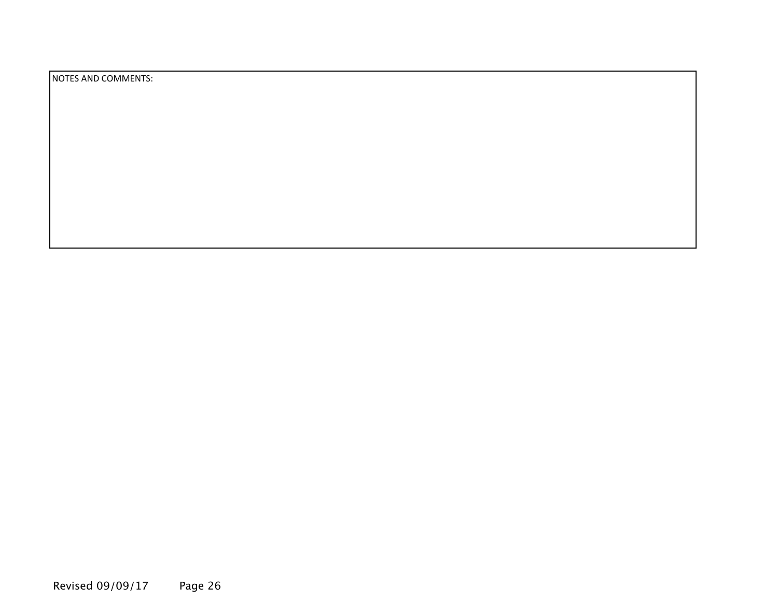NOTES AND COMMENTS: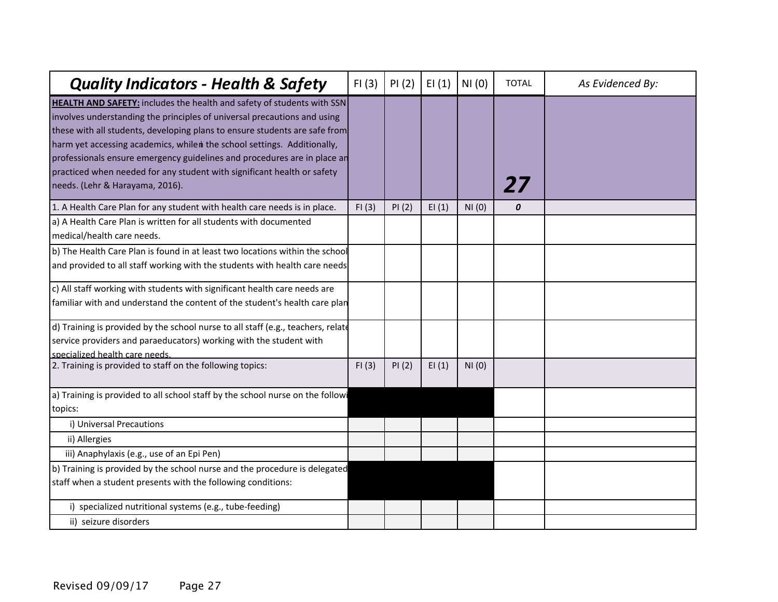| <b>Quality Indicators - Health &amp; Safety</b>                                                                                                                                                                                                                                                                                                                                                                                                                                                              | FI(3) | PI(2) | EI $(1)$ | NI(0) | <b>TOTAL</b> | As Evidenced By: |
|--------------------------------------------------------------------------------------------------------------------------------------------------------------------------------------------------------------------------------------------------------------------------------------------------------------------------------------------------------------------------------------------------------------------------------------------------------------------------------------------------------------|-------|-------|----------|-------|--------------|------------------|
| <b>HEALTH AND SAFETY:</b> includes the health and safety of students with SSN<br>involves understanding the principles of universal precautions and using<br>these with all students, developing plans to ensure students are safe from<br>harm yet accessing academics, whilen the school settings. Additionally,<br>professionals ensure emergency guidelines and procedures are in place an<br>practiced when needed for any student with significant health or safety<br>needs. (Lehr & Harayama, 2016). |       |       |          |       | 27           |                  |
| 1. A Health Care Plan for any student with health care needs is in place.                                                                                                                                                                                                                                                                                                                                                                                                                                    | FI(3) | PI(2) | EI(1)    | NI(0) | 0            |                  |
| a) A Health Care Plan is written for all students with documented<br>medical/health care needs.                                                                                                                                                                                                                                                                                                                                                                                                              |       |       |          |       |              |                  |
| b) The Health Care Plan is found in at least two locations within the school<br>and provided to all staff working with the students with health care needs                                                                                                                                                                                                                                                                                                                                                   |       |       |          |       |              |                  |
| c) All staff working with students with significant health care needs are<br>familiar with and understand the content of the student's health care plan                                                                                                                                                                                                                                                                                                                                                      |       |       |          |       |              |                  |
| d) Training is provided by the school nurse to all staff (e.g., teachers, relate<br>service providers and paraeducators) working with the student with<br>specialized health care needs                                                                                                                                                                                                                                                                                                                      |       |       |          |       |              |                  |
| 2. Training is provided to staff on the following topics:                                                                                                                                                                                                                                                                                                                                                                                                                                                    | FI(3) | PI(2) | EI $(1)$ | NI(0) |              |                  |
| a) Training is provided to all school staff by the school nurse on the followi<br>topics:                                                                                                                                                                                                                                                                                                                                                                                                                    |       |       |          |       |              |                  |
| i) Universal Precautions                                                                                                                                                                                                                                                                                                                                                                                                                                                                                     |       |       |          |       |              |                  |
| ii) Allergies                                                                                                                                                                                                                                                                                                                                                                                                                                                                                                |       |       |          |       |              |                  |
| iii) Anaphylaxis (e.g., use of an Epi Pen)                                                                                                                                                                                                                                                                                                                                                                                                                                                                   |       |       |          |       |              |                  |
| b) Training is provided by the school nurse and the procedure is delegated<br>staff when a student presents with the following conditions:                                                                                                                                                                                                                                                                                                                                                                   |       |       |          |       |              |                  |
| i) specialized nutritional systems (e.g., tube-feeding)                                                                                                                                                                                                                                                                                                                                                                                                                                                      |       |       |          |       |              |                  |
| ii) seizure disorders                                                                                                                                                                                                                                                                                                                                                                                                                                                                                        |       |       |          |       |              |                  |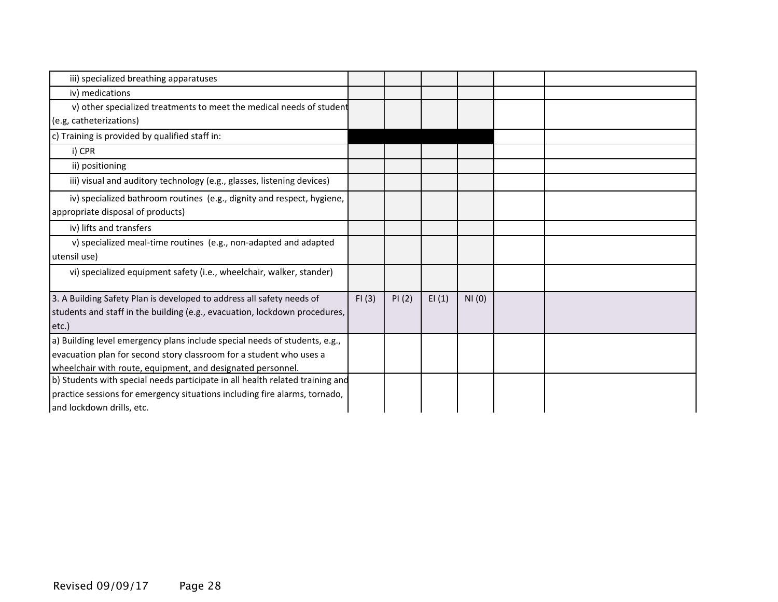| iii) specialized breathing apparatuses                                                                      |       |       |       |       |  |
|-------------------------------------------------------------------------------------------------------------|-------|-------|-------|-------|--|
| iv) medications                                                                                             |       |       |       |       |  |
| v) other specialized treatments to meet the medical needs of student                                        |       |       |       |       |  |
| (e.g, catheterizations)                                                                                     |       |       |       |       |  |
| c) Training is provided by qualified staff in:                                                              |       |       |       |       |  |
| i) CPR                                                                                                      |       |       |       |       |  |
| ii) positioning                                                                                             |       |       |       |       |  |
| iii) visual and auditory technology (e.g., glasses, listening devices)                                      |       |       |       |       |  |
| iv) specialized bathroom routines (e.g., dignity and respect, hygiene,<br>appropriate disposal of products) |       |       |       |       |  |
| iv) lifts and transfers                                                                                     |       |       |       |       |  |
| v) specialized meal-time routines (e.g., non-adapted and adapted                                            |       |       |       |       |  |
| utensil use)                                                                                                |       |       |       |       |  |
| vi) specialized equipment safety (i.e., wheelchair, walker, stander)                                        |       |       |       |       |  |
| 3. A Building Safety Plan is developed to address all safety needs of                                       | FI(3) | PI(2) | EI(1) | NI(0) |  |
| students and staff in the building (e.g., evacuation, lockdown procedures,                                  |       |       |       |       |  |
| etc.)                                                                                                       |       |       |       |       |  |
| a) Building level emergency plans include special needs of students, e.g.,                                  |       |       |       |       |  |
| evacuation plan for second story classroom for a student who uses a                                         |       |       |       |       |  |
| wheelchair with route, equipment, and designated personnel.                                                 |       |       |       |       |  |
| b) Students with special needs participate in all health related training and                               |       |       |       |       |  |
| practice sessions for emergency situations including fire alarms, tornado,                                  |       |       |       |       |  |
| and lockdown drills, etc.                                                                                   |       |       |       |       |  |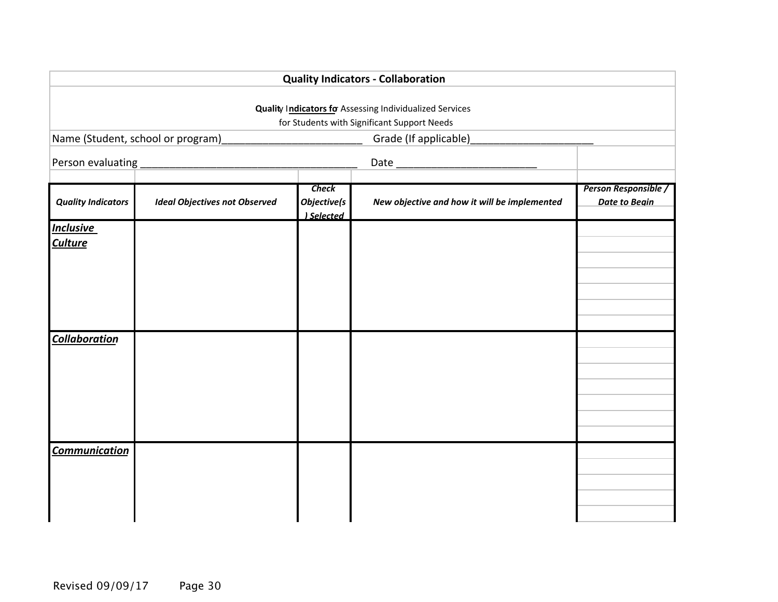|                                                                                                        |                                                            |                                    | <b>Quality Indicators - Collaboration</b>    |                                                     |  |  |  |  |  |
|--------------------------------------------------------------------------------------------------------|------------------------------------------------------------|------------------------------------|----------------------------------------------|-----------------------------------------------------|--|--|--|--|--|
| Quality Indicators fo Assessing Individualized Services<br>for Students with Significant Support Needs |                                                            |                                    |                                              |                                                     |  |  |  |  |  |
|                                                                                                        | Name (Student, school or program)<br>Grade (If applicable) |                                    |                                              |                                                     |  |  |  |  |  |
|                                                                                                        |                                                            |                                    |                                              |                                                     |  |  |  |  |  |
| <b>Quality Indicators</b>                                                                              | <b>Ideal Objectives not Observed</b>                       | Check<br>Objective(s<br>) Selected | New objective and how it will be implemented | <b>Person Responsible /</b><br><b>Date to Beain</b> |  |  |  |  |  |
| <b>Inclusive</b><br><b>Culture</b>                                                                     |                                                            |                                    |                                              |                                                     |  |  |  |  |  |
| <b>Collaboration</b>                                                                                   |                                                            |                                    |                                              |                                                     |  |  |  |  |  |
| <b>Communication</b>                                                                                   |                                                            |                                    |                                              |                                                     |  |  |  |  |  |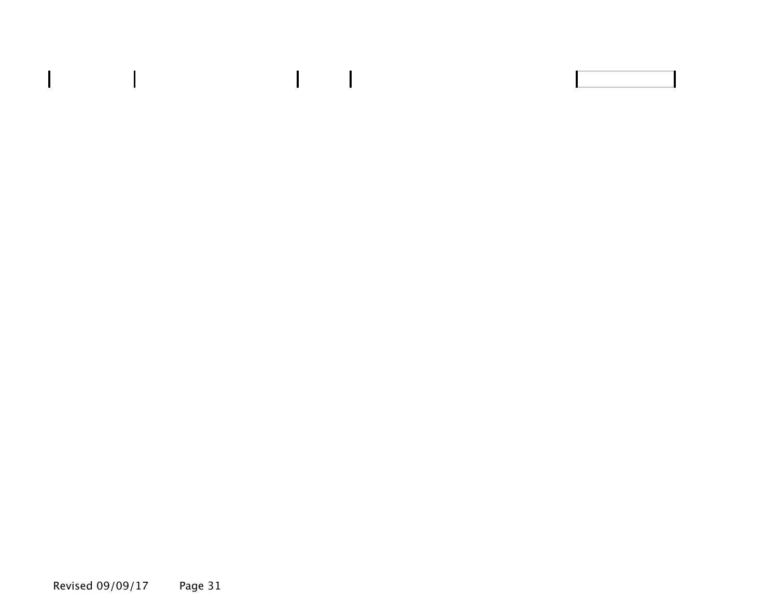Revised 09/09/17 Page 31

 $\sim$  100  $\pm$ 

 $\begin{array}{c} \rule{0pt}{2.5ex} \rule{0pt}{2.5ex} \rule{0pt}{2.5ex} \rule{0pt}{2.5ex} \rule{0pt}{2.5ex} \rule{0pt}{2.5ex} \rule{0pt}{2.5ex} \rule{0pt}{2.5ex} \rule{0pt}{2.5ex} \rule{0pt}{2.5ex} \rule{0pt}{2.5ex} \rule{0pt}{2.5ex} \rule{0pt}{2.5ex} \rule{0pt}{2.5ex} \rule{0pt}{2.5ex} \rule{0pt}{2.5ex} \rule{0pt}{2.5ex} \rule{0pt}{2.5ex} \rule{0pt}{2.5ex} \rule{0$ 

 $\sim 100$ 

 $\mathbf{I}$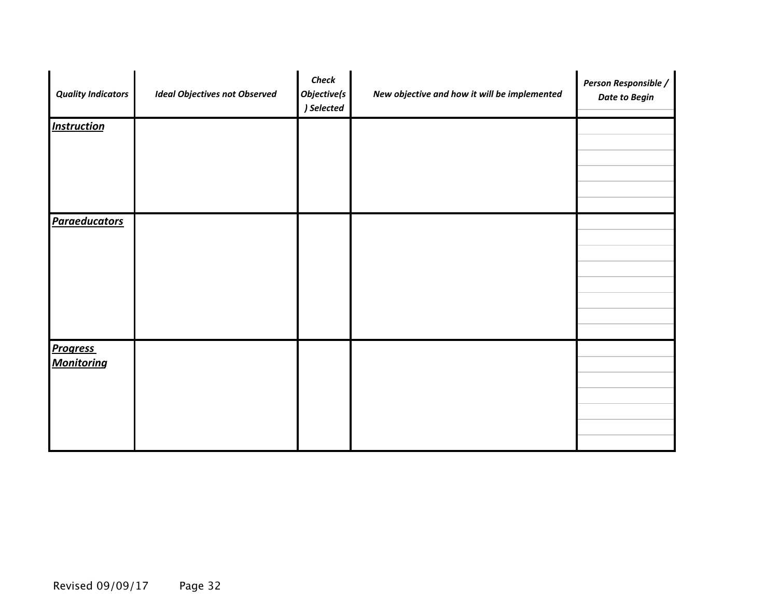| <b>Quality Indicators</b>            | <b>Ideal Objectives not Observed</b> | <b>Check</b><br>Objective(s<br>) Selected | New objective and how it will be implemented | Person Responsible /<br><b>Date to Begin</b> |
|--------------------------------------|--------------------------------------|-------------------------------------------|----------------------------------------------|----------------------------------------------|
| <b>Instruction</b>                   |                                      |                                           |                                              |                                              |
| <b>Paraeducators</b>                 |                                      |                                           |                                              |                                              |
| <b>Progress</b><br><b>Monitoring</b> |                                      |                                           |                                              |                                              |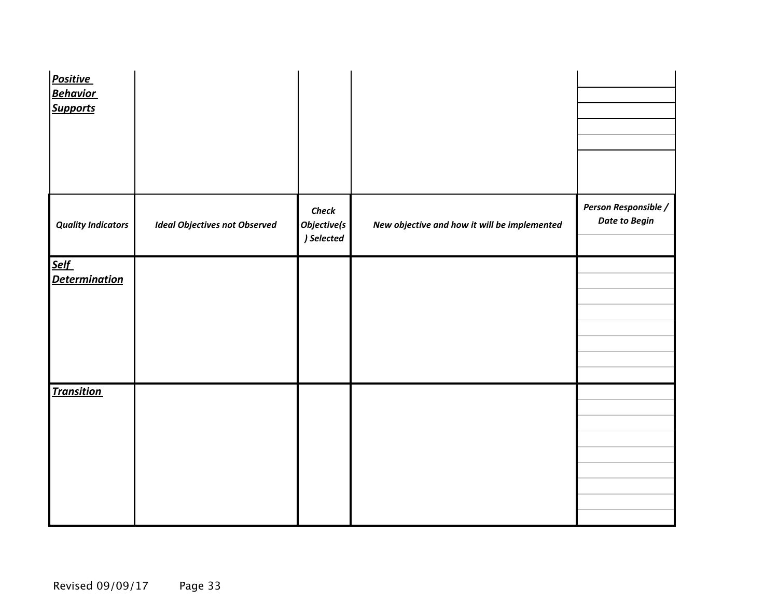| <b>Positive</b><br><b>Behavior</b><br><b>Supports</b> |                                      |                                           |                                              |                                              |
|-------------------------------------------------------|--------------------------------------|-------------------------------------------|----------------------------------------------|----------------------------------------------|
| <b>Quality Indicators</b>                             | <b>Ideal Objectives not Observed</b> | <b>Check</b><br>Objective(s<br>) Selected | New objective and how it will be implemented | Person Responsible /<br><b>Date to Begin</b> |
| Set<br><b>Determination</b>                           |                                      |                                           |                                              |                                              |
| <b>Transition</b>                                     |                                      |                                           |                                              |                                              |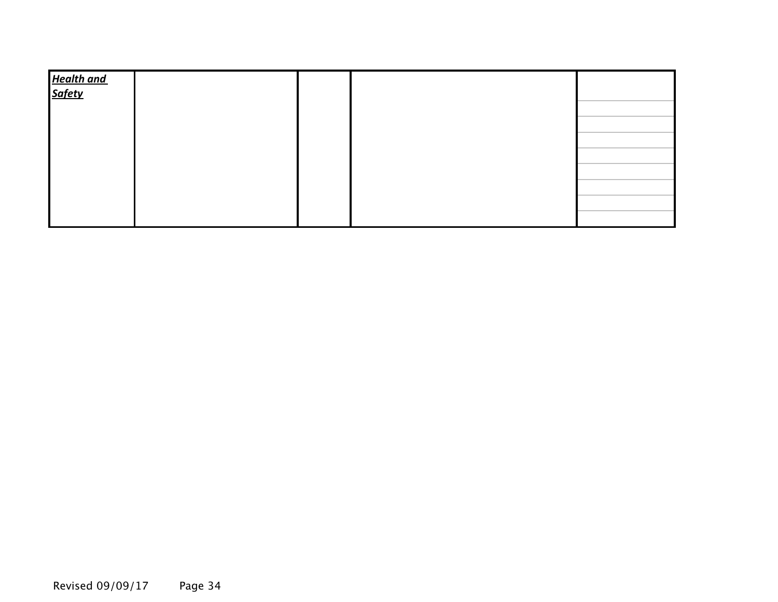| <u>Health and</u><br>Safety |  |  |
|-----------------------------|--|--|
|                             |  |  |
|                             |  |  |
|                             |  |  |
|                             |  |  |
|                             |  |  |
|                             |  |  |
|                             |  |  |
|                             |  |  |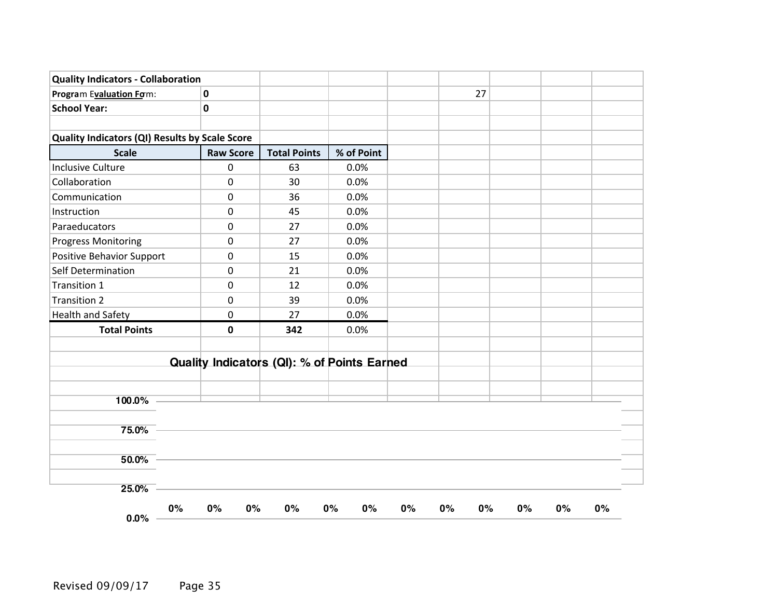| <b>Quality Indicators - Collaboration</b>             |       |                  |    |                                             |       |            |       |       |       |    |    |       |
|-------------------------------------------------------|-------|------------------|----|---------------------------------------------|-------|------------|-------|-------|-------|----|----|-------|
| Program Evaluation Form:                              |       | 0                |    |                                             |       |            |       |       | 27    |    |    |       |
| <b>School Year:</b>                                   |       | 0                |    |                                             |       |            |       |       |       |    |    |       |
|                                                       |       |                  |    |                                             |       |            |       |       |       |    |    |       |
| <b>Quality Indicators (QI) Results by Scale Score</b> |       |                  |    |                                             |       |            |       |       |       |    |    |       |
| <b>Scale</b>                                          |       | <b>Raw Score</b> |    | <b>Total Points</b>                         |       | % of Point |       |       |       |    |    |       |
| <b>Inclusive Culture</b>                              |       | $\pmb{0}$        |    | 63                                          |       | 0.0%       |       |       |       |    |    |       |
| Collaboration                                         |       | 0                |    | 30                                          |       | 0.0%       |       |       |       |    |    |       |
| Communication                                         |       | 0                |    | 36                                          |       | 0.0%       |       |       |       |    |    |       |
| Instruction                                           |       | 0                |    | 45                                          |       | 0.0%       |       |       |       |    |    |       |
| Paraeducators                                         |       | 0                |    | 27                                          |       | 0.0%       |       |       |       |    |    |       |
| <b>Progress Monitoring</b>                            |       | 0                |    | 27                                          |       | 0.0%       |       |       |       |    |    |       |
| Positive Behavior Support                             |       | 0                |    | 15                                          |       | 0.0%       |       |       |       |    |    |       |
| Self Determination                                    |       | 0                |    | 21                                          |       | 0.0%       |       |       |       |    |    |       |
| Transition 1                                          |       | 0                |    | 12                                          |       | 0.0%       |       |       |       |    |    |       |
| <b>Transition 2</b>                                   |       | 0                |    | 39                                          |       | 0.0%       |       |       |       |    |    |       |
| Health and Safety                                     |       | 0                |    | 27                                          |       | 0.0%       |       |       |       |    |    |       |
| <b>Total Points</b>                                   |       | $\mathbf 0$      |    | 342                                         |       | 0.0%       |       |       |       |    |    |       |
|                                                       |       |                  |    |                                             |       |            |       |       |       |    |    |       |
|                                                       |       |                  |    | Quality Indicators (QI): % of Points Earned |       |            |       |       |       |    |    |       |
| 100.0%                                                |       |                  |    |                                             |       |            |       |       |       |    |    |       |
|                                                       |       |                  |    |                                             |       |            |       |       |       |    |    |       |
| 75.0%                                                 |       |                  |    |                                             |       |            |       |       |       |    |    |       |
| 50.0%                                                 |       |                  |    |                                             |       |            |       |       |       |    |    |       |
| 25.0%                                                 |       |                  |    |                                             |       |            |       |       |       |    |    |       |
|                                                       | $0\%$ | 0%               | 0% | $0\%$                                       | $0\%$ | 0%         | $0\%$ | $0\%$ | $0\%$ | 0% | 0% | $0\%$ |
| 0.0%                                                  |       |                  |    |                                             |       |            |       |       |       |    |    |       |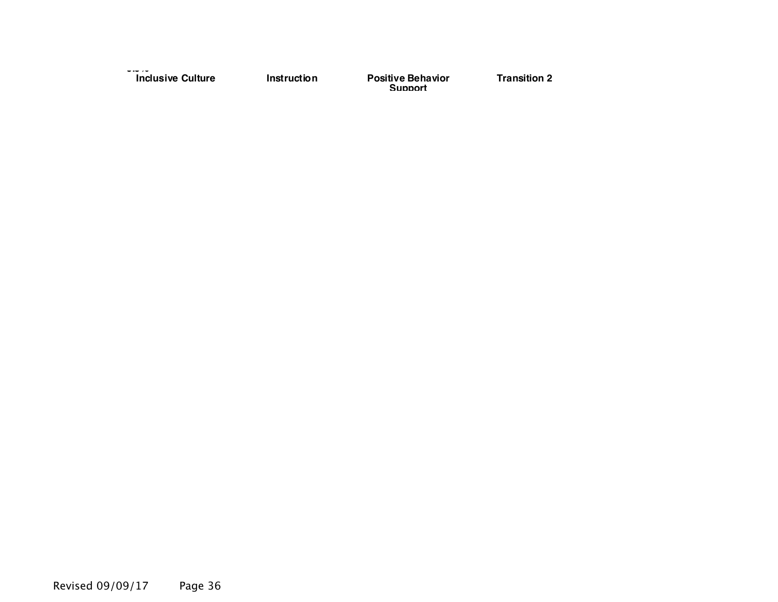| $- - - -$<br>Inclusive Culture | Instruction | <b>Positive Behavior</b><br>Support | <b>Transition 2</b> |
|--------------------------------|-------------|-------------------------------------|---------------------|
|                                |             |                                     |                     |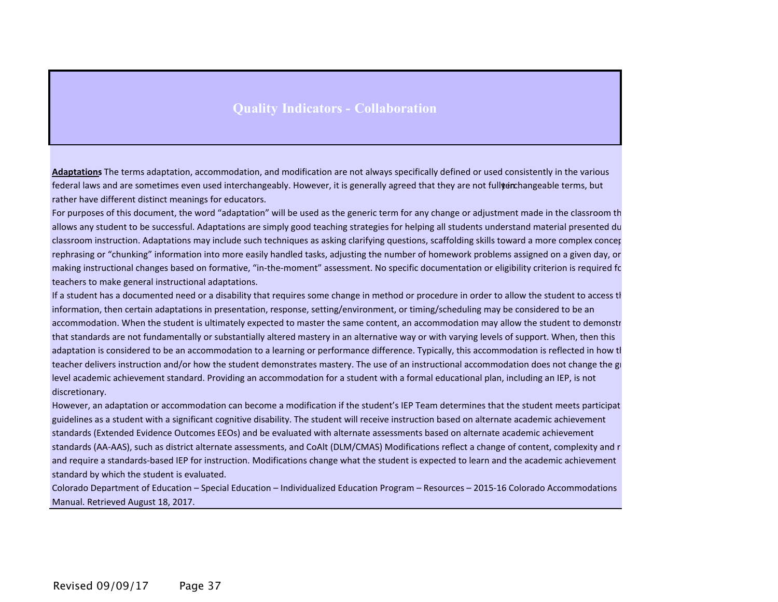### **Quality Indicators - Collaboration**

**Adaptations**: The terms adaptation, accommodation, and modification are not always specifically defined or used consistently in the various federal laws and are sometimes even used interchangeably. However, it is generally agreed that they are not full venchangeable terms, but rather have different distinct meanings for educators.

For purposes of this document, the word "adaptation" will be used as the generic term for any change or adjustment made in the classroom th allows any student to be successful. Adaptations are simply good teaching strategies for helping all students understand material presented du classroom instruction. Adaptations may include such techniques as asking clarifying questions, scaffolding skills toward a more complex conceptions. rephrasing or "chunking" information into more easily handled tasks, adjusting the number of homework problems assigned on a given day, or making instructional changes based on formative, "in-the-moment" assessment. No specific documentation or eligibility criterion is required for teachers to make general instructional adaptations.

If a student has a documented need or a disability that requires some change in method or procedure in order to allow the student to access the information, then certain adaptations in presentation, response, setting/environment, or timing/scheduling may be considered to be an accommodation. When the student is ultimately expected to master the same content, an accommodation may allow the student to demonstr that standards are not fundamentally or substantially altered mastery in an alternative way or with varying levels of support. When, then this adaptation is considered to be an accommodation to a learning or performance difference. Typically, this accommodation is reflected in how the teacher delivers instruction and/or how the student demonstrates mastery. The use of an instructional accommodation does not change the gi level academic achievement standard. Providing an accommodation for a student with a formal educational plan, including an IEP, is not discretionary.

However, an adaptation or accommodation can become a modification if the student's IEP Team determines that the student meets participat guidelines as a student with a significant cognitive disability. The student will receive instruction based on alternate academic achievement standards (Extended Evidence Outcomes EEOs) and be evaluated with alternate assessments based on alternate academic achievement standards (AA-AAS), such as district alternate assessments, and CoAlt (DLM/CMAS) Modifications reflect a change of content, complexity and r and require a standards-based IEP for instruction. Modifications change what the student is expected to learn and the academic achievement standard by which the student is evaluated.

Colorado Department of Education – Special Education – Individualized Education Program – Resources – 2015-16 Colorado Accommodations Manual. Retrieved August 18, 2017.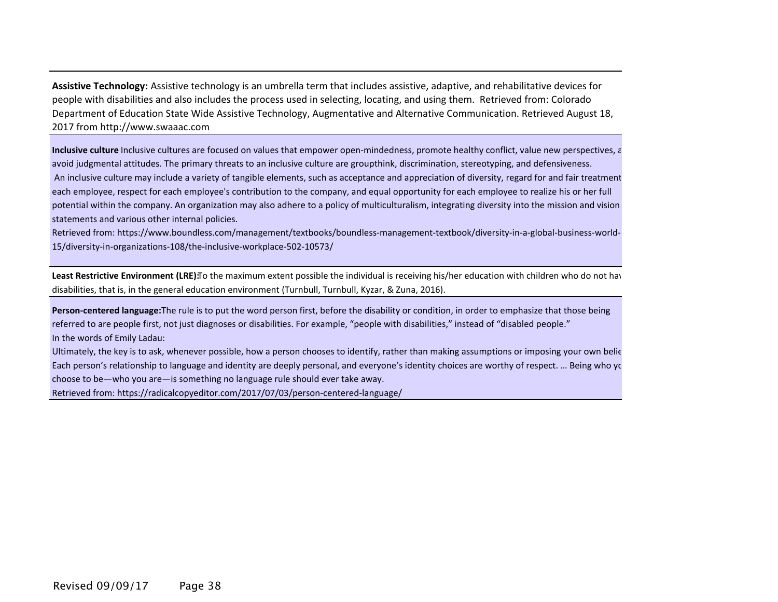**Assistive Technology:** Assistive technology is an umbrella term that includes assistive, adaptive, and rehabilitative devices for people with disabilities and also includes the process used in selecting, locating, and using them. Retrieved from: Colorado Department of Education State Wide Assistive Technology, Augmentative and Alternative Communication. Retrieved August 18, 2017 from http://www.swaaac.com

Inclusive culture Inclusive cultures are focused on values that empower open-mindedness, promote healthy conflict, value new perspectives, a avoid judgmental attitudes. The primary threats to an inclusive culture are groupthink, discrimination, stereotyping, and defensiveness. An inclusive culture may include a variety of tangible elements, such as acceptance and appreciation of diversity, regard for and fair treatment each employee, respect for each employee's contribution to the company, and equal opportunity for each employee to realize his or her full potential within the company. An organization may also adhere to a policy of multiculturalism, integrating diversity into the mission and vision statements and various other internal policies.

Retrieved from: https://www.boundless.com/management/textbooks/boundless-management-textbook/diversity-in-a-global-business-world-15/diversity-in-organizations-108/the-inclusive-workplace-502-10573/

Least Restrictive Environment (LRE): To the maximum extent possible the individual is receiving his/her education with children who do not have disabilities, that is, in the general education environment (Turnbull, Turnbull, Kyzar, & Zuna, 2016).

Person-centered language: The rule is to put the word person first, before the disability or condition, in order to emphasize that those being referred to are people first, not just diagnoses or disabilities. For example, "people with disabilities," instead of "disabled people." In the words of Emily Ladau:

Ultimately, the key is to ask, whenever possible, how a person chooses to identify, rather than making assumptions or imposing your own belie Each person's relationship to language and identity are deeply personal, and everyone's identity choices are worthy of respect. ... Being who you choose to be—who you are—is something no language rule should ever take away. Retrieved from: https://radicalcopyeditor.com/2017/07/03/person-centered-language/

Revised 09/09/17 Page 38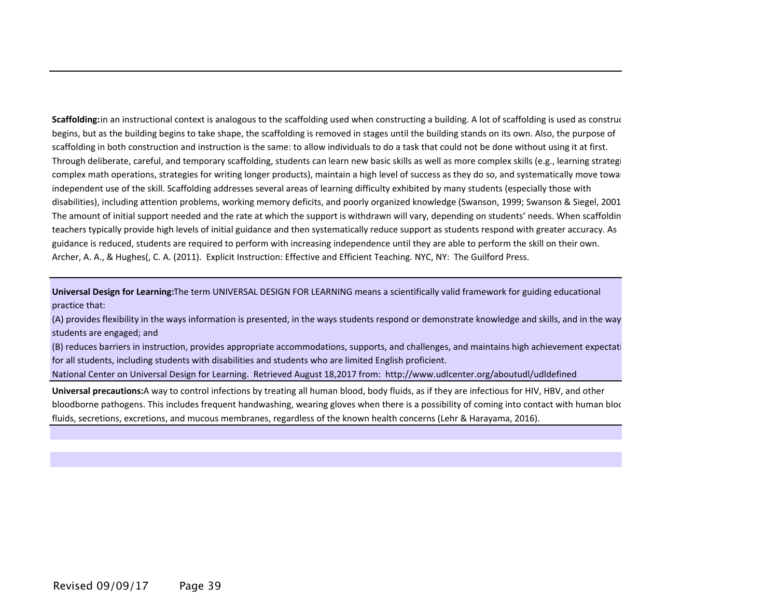Scaffolding: in an instructional context is analogous to the scaffolding used when constructing a building. A lot of scaffolding is used as constructional context is analogous to the scaffolding of the state of scaffolding begins, but as the building begins to take shape, the scaffolding is removed in stages until the building stands on its own. Also, the purpose of scaffolding in both construction and instruction is the same: to allow individuals to do a task that could not be done without using it at first. Through deliberate, careful, and temporary scaffolding, students can learn new basic skills as well as more complex skills (e.g., learning strategi complex math operations, strategies for writing longer products), maintain a high level of success as they do so, and systematically move toward independent use of the skill. Scaffolding addresses several areas of learning difficulty exhibited by many students (especially those with disabilities), including attention problems, working memory deficits, and poorly organized knowledge (Swanson, 1999; Swanson & Siegel, 2001). The amount of initial support needed and the rate at which the support is withdrawn will vary, depending on students' needs. When scaffoldin teachers typically provide high levels of initial guidance and then systematically reduce support as students respond with greater accuracy. As guidance is reduced, students are required to perform with increasing independence until they are able to perform the skill on their own. Archer, A. A., & Hughes(, C. A. (2011). Explicit Instruction: Effective and Efficient Teaching. NYC, NY: The Guilford Press.

**Universal Design for Learning:** The term UNIVERSAL DESIGN FOR LEARNING means a scientifically valid framework for guiding educational practice that:

(A) provides flexibility in the ways information is presented, in the ways students respond or demonstrate knowledge and skills, and in the ways students are engaged; and

(B) reduces barriers in instruction, provides appropriate accommodations, supports, and challenges, and maintains high achievement expectations for all students, including students with disabilities and students who are limited English proficient.

National Center on Universal Design for Learning. Retrieved August 18,2017 from: http://www.udlcenter.org/aboutudl/udldefined

Universal precautions: A way to control infections by treating all human blood, body fluids, as if they are infectious for HIV, HBV, and other bloodborne pathogens. This includes frequent handwashing, wearing gloves when there is a possibility of coming into contact with human blood fluids, secretions, excretions, and mucous membranes, regardless of the known health concerns (Lehr & Harayama, 2016).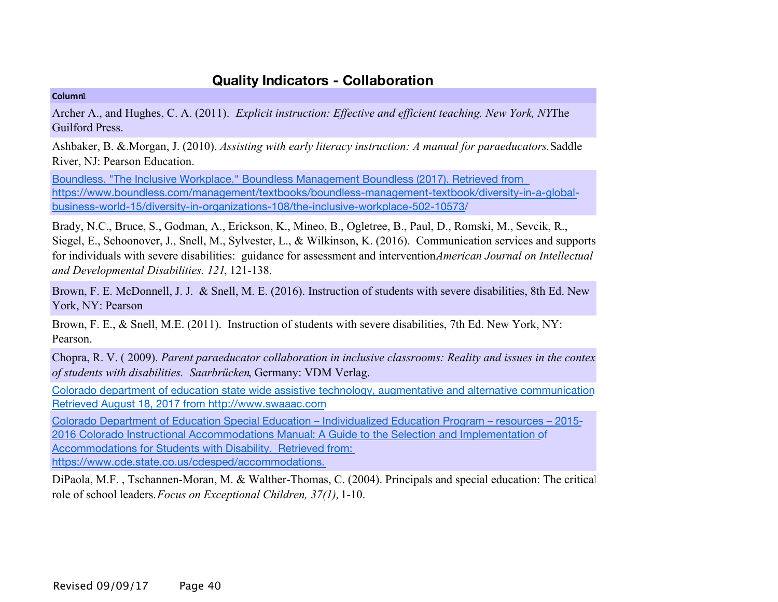# **Quality Indicators - Collaboration**

#### **Column**1

Archer A., and Hughes, C. A. (2011). *Explicit instruction: Effective and efficient teaching. New York, NYThe* Guilford Press.

Ashbaker, B. &.Morgan, J. (2010). *Assisting with early literacy instruction: A manual for paraeducators.* Saddle River, NJ: Pearson Education.

Boundless. "The Inclusive Workplace." Boundless Management Boundless (2017). Retrieved from https://www.boundless.com/management/textbooks/boundless-management-textbook/diversity-in-a-globalbusiness-world-15/diversity-in-organizations-108/the-inclusive-workplace-502-10573/

Brady, N.C., Bruce, S., Godman, A., Erickson, K., Mineo, B., Ogletree, B., Paul, D., Romski, M., Sevcik, R., Siegel, E., Schoonover, J., Snell, M., Sylvester, L., & Wilkinson, K. (2016). Communication services and supports for individuals with severe disabilities: guidance for assessment and intervention. *American Journal on Intellectual and Developmental Disabilities. 121*, 121-138.

Brown, F. E. McDonnell, J. J. & Snell, M. E. (2016). Instruction of students with severe disabilities, 8th Ed. New York, NY: Pearson

Brown, F. E., & Snell, M.E. (2011). Instruction of students with severe disabilities, 7th Ed. New York, NY: Pearson.

Chopra, R. V. (2009). *Parent paraeducator collaboration in inclusive classrooms: Reality and issues in the contex of students with disabilities. Saarbrücken*, Germany: VDM Verlag.

Colorado department of education state wide assistive technology, augmentative and alternative communication. Retrieved August 18, 2017 from http://www.swaaac.com

Colorado Department of Education Special Education – Individualized Education Program – resources – 2015- 2016 Colorado Instructional Accommodations Manual: A Guide to the Selection and Implementation of Accommodations for Students with Disability. Retrieved from: https://www.cde.state.co.us/cdesped/accommodations.

DiPaola, M.F. , Tschannen-Moran, M. & Walther-Thomas, C. (2004). Principals and special education: The critical role of school leaders. *Focus on Exceptional Children, 37(1),* 1-10.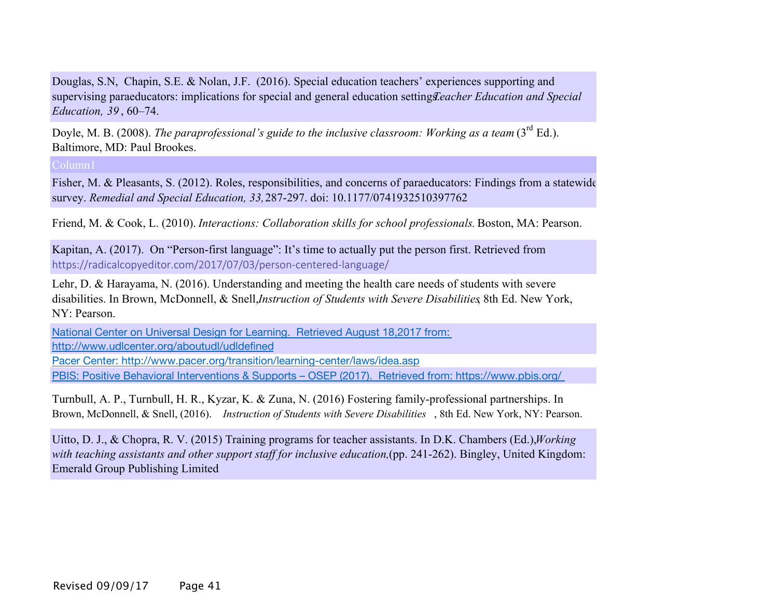Douglas, S.N, Chapin, S.E. & Nolan, J.F. (2016). Special education teachers' experiences supporting and supervising paraeducators: implications for special and general education settings*leacher Education and Special Education, 39* , 60–74.

Doyle, M. B. (2008). *The paraprofessional's guide to the inclusive classroom: Working as a team* (3<sup>rd</sup> Ed.). Baltimore, MD: Paul Brookes.

Column1

Fisher, M. & Pleasants, S. (2012). Roles, responsibilities, and concerns of paraeducators: Findings from a statewide survey. *Remedial and Special Education, 33,* 287-297. doi: 10.1177/0741932510397762

Friend, M. & Cook, L. (2010). *Interactions: Collaboration skills for school professionals.* Boston, MA: Pearson.

Kapitan, A. (2017). On "Person-first language": It's time to actually put the person first. Retrieved from https://radicalcopyeditor.com/2017/07/03/person-centered-language/

Lehr, D. & Harayama, N. (2016). Understanding and meeting the health care needs of students with severe disabilities. In Brown, McDonnell, & Snell, *Instruction of Students with Severe Disabilities*, 8th Ed. New York, NY: Pearson.

National Center on Universal Design for Learning. Retrieved August 18,2017 from: http://www.udlcenter.org/aboutudl/udldefined Pacer Center: http://www.pacer.org/transition/learning-center/laws/idea.asp PBIS: Positive Behavioral Interventions & Supports – OSEP (2017). Retrieved from: https://www.pbis.org/

Turnbull, A. P., Turnbull, H. R., Kyzar, K. & Zuna, N. (2016) Fostering family-professional partnerships. In Brown, McDonnell, & Snell, (2016). *Instruction of Students with Severe Disabilities* , 8th Ed. New York, NY: Pearson.

Uitto, D. J., & Chopra, R. V. (2015) Training programs for teacher assistants. In D.K. Chambers (Ed.), *Working* with teaching assistants and other support staff for inclusive education, (pp. 241-262). Bingley, United Kingdom: Emerald Group Publishing Limited